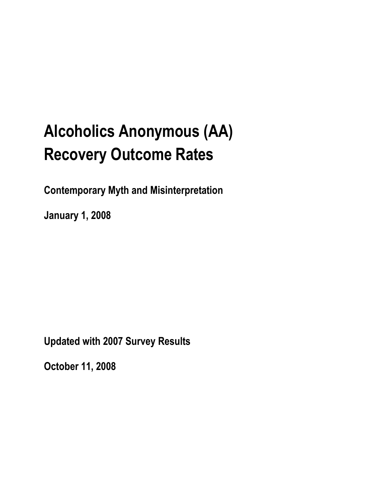# **Alcoholics Anonymous (AA) Recovery Outcome Rates**

**Contemporary Myth and Misinterpretation**

**January 1, 2008**

**Updated with 2007 Survey Results**

**October 11, 2008**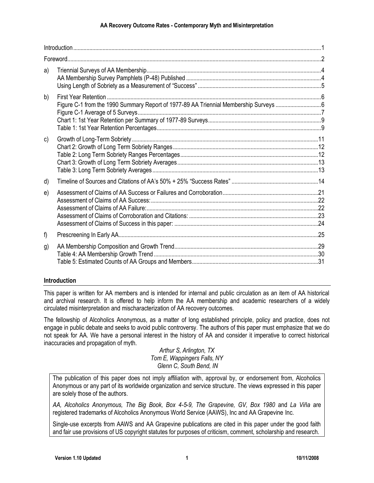#### **AA Recovery Outcome Rates - Contemporary Myth and Misinterpretation**

| a) |                                                                                      |  |
|----|--------------------------------------------------------------------------------------|--|
| b) | Figure C-1 from the 1990 Summary Report of 1977-89 AA Triennial Membership Surveys 6 |  |
| c) |                                                                                      |  |
| d) |                                                                                      |  |
| e) |                                                                                      |  |
| f) |                                                                                      |  |
| g) |                                                                                      |  |

#### **Introduction**

This paper is written for AA members and is intended for internal and public circulation as an item of AA historical and archival research. It is offered to help inform the AA membership and academic researchers of a widely circulated misinterpretation and mischaracterization of AA recovery outcomes.

The fellowship of Alcoholics Anonymous, as a matter of long established principle, policy and practice, does not engage in public debate and seeks to avoid public controversy. The authors of this paper must emphasize that we do not speak for AA. We have a personal interest in the history of AA and consider it imperative to correct historical inaccuracies and propagation of myth.

*Arthur S, Arlington, TX Tom E, Wappingers Falls, NY Glenn C, South Bend, IN*

The publication of this paper does not imply affiliation with, approval by, or endorsement from, Alcoholics Anonymous or any part of its worldwide organization and service structure. The views expressed in this paper are solely those of the authors.

*AA, Alcoholics Anonymous, The Big Book, Box 4-5-9, The Grapevine, GV, Box 1980* and *La Viña* are registered trademarks of Alcoholics Anonymous World Service (AAWS), Inc and AA Grapevine Inc.

Single-use excerpts from AAWS and AA Grapevine publications are cited in this paper under the good faith and fair use provisions of US copyright statutes for purposes of criticism, comment, scholarship and research.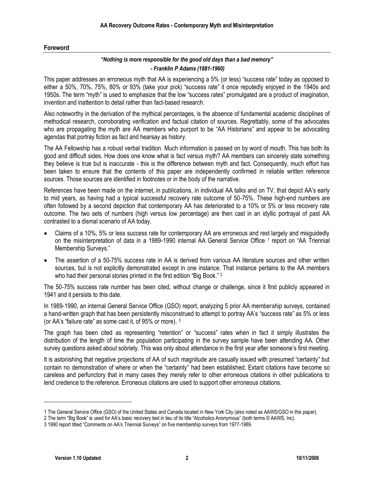#### **Foreword**

#### *"Nothing is more responsible for the good old days than a bad memory" - Franklin P Adams (1881-1960)*

This paper addresses an erroneous myth that AA is experiencing a 5% (or less) "success rate" today as opposed to either a 50%, 70%, 75%, 80% or 93% (take your pick) "success rate" it once reputedly enjoyed in the 1940s and 1950s. The term "myth" is used to emphasize that the low "success rates" promulgated are a product of imagination, invention and inattention to detail rather than fact-based research.

Also noteworthy in the derivation of the mythical percentages, is the absence of fundamental academic disciplines of methodical research, corroborating verification and factual citation of sources. Regrettably, some of the advocates who are propagating the myth are AA members who purport to be "AA Historians" and appear to be advocating agendas that portray fiction as fact and hearsay as history.

The AA Fellowship has a robust verbal tradition. Much information is passed on by word of mouth. This has both its good and difficult sides. How does one know what is fact versus myth? AA members can sincerely state something they believe is true but is inaccurate - this is the difference between myth and fact. Consequently, much effort has been taken to ensure that the contents of this paper are independently confirmed in reliable written reference sources. Those sources are identified in footnotes or in the body of the narrative.

References have been made on the internet, in publications, in individual AA talks and on TV, that depict AA's early to mid years, as having had a typical successful recovery rate outcome of 50-75%. These high-end numbers are often followed by a second depiction that contemporary AA has deteriorated to a 10% or 5% or less recovery rate outcome. The two sets of numbers (high versus low percentage) are then cast in an idyllic portrayal of past AA contrasted to a dismal scenario of AA today.

- Claims of a 10%, 5% or less success rate for contemporary AA are erroneous and rest largely and misguidedly on the misinterpretation of data in a 1989-1990 internal AA General Service Office <sup>1</sup> report on "AA Triennial Membership Surveys."
- The assertion of a 50-75% success rate in AA is derived from various AA literature sources and other written sources, but is not explicitly demonstrated except in one instance. That instance pertains to the AA members who had their personal stories printed in the first edition "Big Book."<sup>2</sup>

The 50-75% success rate number has been cited, without change or challenge, since it first publicly appeared in 1941 and it persists to this date.

In 1989-1990, an internal General Service Office (GSO) report, analyzing 5 prior AA membership surveys, contained a hand-written graph that has been persistently misconstrued to attempt to portray AA's "success rate" as 5% or less (or AA's "failure rate" as some cast it, of 95% or more). <sup>3</sup>

The graph has been cited as representing "retention" or "success" rates when in fact it simply illustrates the distribution of the length of time the population participating in the survey sample have been attending AA. Other survey questions asked about sobriety. This was only about attendance in the first year after someone's first meeting.

It is astonishing that negative projections of AA of such magnitude are casually issued with presumed "certainty" but contain no demonstration of where or when the "certainty" had been established. Extant citations have become so careless and perfunctory that in many cases they merely refer to other erroneous citations in other publications to lend credence to the reference. Erroneous citations are used to support other erroneous citations.

<sup>1</sup> The General Service Office (GSO) of the United States and Canada located in New York City (also noted as AAWS/GSO in this paper).

<sup>2</sup> The term "Big Book" is used for AA's basic recovery text in lieu of its title "Alcoholics Anonymous" (both terms © AAWS, Inc).

<sup>3</sup> 1990 report titled "Comments on AA's Triennial Surveys" on five membership surveys from 1977-1989.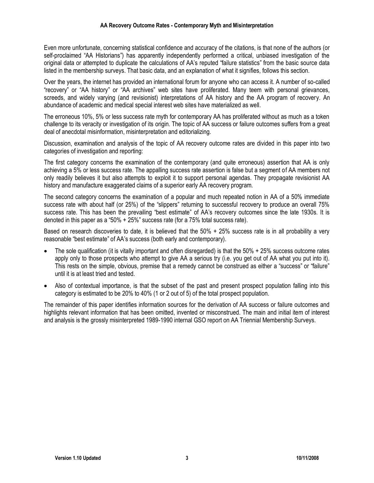Even more unfortunate, concerning statistical confidence and accuracy of the citations, is that none of the authors (or self-proclaimed "AA Historians") has apparently independently performed a critical, unbiased investigation of the original data or attempted to duplicate the calculations of AA's reputed "failure statistics" from the basic source data listed in the membership surveys. That basic data, and an explanation of what it signifies, follows this section.

Over the years, the internet has provided an international forum for anyone who can access it. A number of so-called "recovery" or "AA history" or "AA archives" web sites have proliferated. Many teem with personal grievances, screeds, and widely varying (and revisionist) interpretations of AA history and the AA program of recovery. An abundance of academic and medical special interest web sites have materialized as well.

The erroneous 10%, 5% or less success rate myth for contemporary AA has proliferated without as much as a token challenge to its veracity or investigation of its origin. The topic of AA success or failure outcomes suffers from a great deal of anecdotal misinformation, misinterpretation and editorializing.

Discussion, examination and analysis of the topic of AA recovery outcome rates are divided in this paper into two categories of investigation and reporting:

The first category concerns the examination of the contemporary (and quite erroneous) assertion that AA is only achieving a 5% or less success rate. The appalling success rate assertion is false but a segment of AA members not only readily believes it but also attempts to exploit it to support personal agendas. They propagate revisionist AA history and manufacture exaggerated claims of a superior early AA recovery program.

The second category concerns the examination of a popular and much repeated notion in AA of a 50% immediate success rate with about half (or 25%) of the "slippers" returning to successful recovery to produce an overall 75% success rate. This has been the prevailing "best estimate" of AA's recovery outcomes since the late 1930s. It is denoted in this paper as a "50% + 25%" success rate (for a 75% total success rate).

Based on research discoveries to date, it is believed that the 50% + 25% success rate is in all probability a very reasonable "best estimate" of AA's success (both early and contemporary).

- The sole qualification (it is vitally important and often disregarded) is that the 50% + 25% success outcome rates apply only to those prospects who attempt to give AA a serious try (i.e. you get out of AA what you put into it). This rests on the simple, obvious, premise that a remedy cannot be construed as either a "success" or "failure" until it is at least tried and tested.
- Also of contextual importance, is that the subset of the past and present prospect population falling into this category is estimated to be 20% to 40% (1 or 2 out of 5) of the total prospect population.

The remainder of this paper identifies information sources for the derivation of AA success or failure outcomes and highlights relevant information that has been omitted, invented or misconstrued. The main and initial item of interest and analysis is the grossly misinterpreted 1989-1990 internal GSO report on AA Triennial Membership Surveys.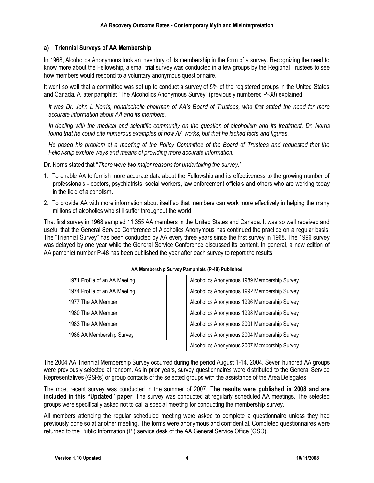#### **a) Triennial Surveys of AA Membership**

In 1968, Alcoholics Anonymous took an inventory of its membership in the form of a survey. Recognizing the need to know more about the Fellowship, a small trial survey was conducted in a few groups by the Regional Trustees to see how members would respond to a voluntary anonymous questionnaire.

It went so well that a committee was set up to conduct a survey of 5% of the registered groups in the United States and Canada. A later pamphlet "The Alcoholics Anonymous Survey" (previously numbered P-38) explained:

*It was Dr. John L Norris, nonalcoholic chairman of AA's Board of Trustees, who first stated the need for more accurate information about AA and its members.*

*In dealing with the medical and scientific community on the question of alcoholism and its treatment, Dr. Norris found that he could cite numerous examples of how AA works, but that he lacked facts and figures.*

*He posed his problem at a meeting of the Policy Committee of the Board of Trustees and requested that the Fellowship explore ways and means of providing more accurate information.*

Dr. Norris stated that "*There were two major reasons for undertaking the survey:"*

- 1. To enable AA to furnish more accurate data about the Fellowship and its effectiveness to the growing number of professionals - doctors, psychiatrists, social workers, law enforcement officials and others who are working today in the field of alcoholism.
- 2. To provide AA with more information about itself so that members can work more effectively in helping the many millions of alcoholics who still suffer throughout the world.

That first survey in 1968 sampled 11,355 AA members in the United States and Canada. It was so well received and useful that the General Service Conference of Alcoholics Anonymous has continued the practice on a regular basis. The "Triennial Survey" has been conducted by AA every three years since the first survey in 1968. The 1996 survey was delayed by one year while the General Service Conference discussed its content. In general, a new edition of AA pamphlet number P-48 has been published the year after each survey to report the results:

|                               | AA Membership Survey Pamphlets (P-48) Published |
|-------------------------------|-------------------------------------------------|
| 1971 Profile of an AA Meeting | Alcoholics Anonymous 1989 Membership Survey     |
| 1974 Profile of an AA Meeting | Alcoholics Anonymous 1992 Membership Survey     |
| 1977 The AA Member            | Alcoholics Anonymous 1996 Membership Survey     |
| 1980 The AA Member            | Alcoholics Anonymous 1998 Membership Survey     |
| 1983 The AA Member            | Alcoholics Anonymous 2001 Membership Survey     |
| 1986 AA Membership Survey     | Alcoholics Anonymous 2004 Membership Survey     |
|                               | Alcoholics Anonymous 2007 Membership Survey     |

The 2004 AA Triennial Membership Survey occurred during the period August 1-14, 2004. Seven hundred AA groups were previously selected at random. As in prior years, survey questionnaires were distributed to the General Service Representatives (GSRs) or group contacts of the selected groups with the assistance of the Area Delegates.

The most recent survey was conducted in the summer of 2007. **The results were published in 2008 and are included in this "Updated" paper.** The survey was conducted at regularly scheduled AA meetings. The selected groups were specifically asked not to call a special meeting for conducting the membership survey.

All members attending the regular scheduled meeting were asked to complete a questionnaire unless they had previously done so at another meeting. The forms were anonymous and confidential. Completed questionnaires were returned to the Public Information (PI) service desk of the AA General Service Office (GSO).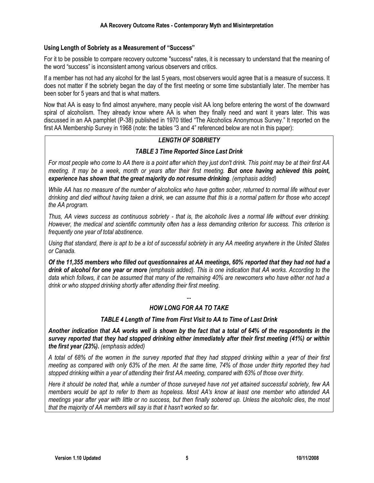#### **Using Length of Sobriety as a Measurement of "Success"**

For it to be possible to compare recovery outcome "success" rates, it is necessary to understand that the meaning of the word "success" is inconsistent among various observers and critics.

If a member has not had any alcohol for the last 5 years, most observers would agree that is a measure of success. It does not matter if the sobriety began the day of the first meeting or some time substantially later. The member has been sober for 5 years and that is what matters.

Now that AA is easy to find almost anywhere, many people visit AA long before entering the worst of the downward spiral of alcoholism. They already know where AA is when they finally need and want it years later. This was discussed in an AA pamphlet (P-38) published in 1970 titled "The Alcoholics Anonymous Survey." It reported on the first AA Membership Survey in 1968 (note: the tables "3 and 4" referenced below are not in this paper):

#### *LENGTH OF SOBRIETY*

#### *TABLE 3 Time Reported Since Last Drink*

*For most people who come to AA there is a point after which they just don't drink. This point may be at their first AA meeting. It may be a week, month or years after their first meeting. But once having achieved this point, experience has shown that the great majority do not resume drinking. (emphasis added)*

*While AA has no measure of the number of alcoholics who have gotten sober, returned to normal life without ever drinking and died without having taken a drink, we can assume that this is a normal pattern for those who accept the AA program.* 

*Thus, AA views success as continuous sobriety - that is, the alcoholic lives a normal life without ever drinking. However, the medical and scientific community often has a less demanding criterion for success. This criterion is frequently one year of total abstinence.* 

*Using that standard, there is apt to be a lot of successful sobriety in any AA meeting anywhere in the United States or Canada.* 

*Of the 11,355 members who filled out questionnaires at AA meetings, 60% reported that they had not had a drink of alcohol for one year or more (emphasis added). This is one indication that AA works. According to the data which follows, it can be assumed that many of the remaining 40% are newcomers who have either not had a drink or who stopped drinking shortly after attending their first meeting.*

## *... HOW LONG FOR AA TO TAKE*

#### *TABLE 4 Length of Time from First Visit to AA to Time of Last Drink*

*Another indication that AA works well is shown by the fact that a total of 64% of the respondents in the survey reported that they had stopped drinking either immediately after their first meeting (41%) or within the first year (23%). (emphasis added)*

*A total of 68% of the women in the survey reported that they had stopped drinking within a year of their first meeting as compared with only 63% of the men. At the same time, 74% of those under thirty reported they had stopped drinking within a year of attending their first AA meeting, compared with 63% of those over thirty.* 

*Here it should be noted that, while a number of those surveyed have not yet attained successful sobriety, few AA members would be apt to refer to them as hopeless. Most AA's know at least one member who attended AA meetings year after year with little or no success, but then finally sobered up. Unless the alcoholic dies, the most that the majority of AA members will say is that it hasn't worked so far.*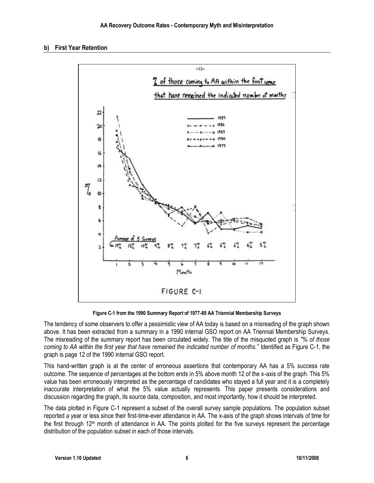#### **b) First Year Retention**



**Figure C-1 from the 1990 Summary Report of 1977-89 AA Triennial Membership Surveys**

The tendency of some observers to offer a pessimistic view of AA today is based on a misreading of the graph shown above. It has been extracted from a summary in a 1990 internal GSO report on AA Triennial Membership Surveys. The misreading of the summary report has been circulated widely. The title of the misquoted graph is *"% of those coming to AA within the first year that have remained the indicated number of months."* Identified as Figure C-1, the graph is page 12 of the 1990 internal GSO report.

This hand-written graph is at the center of erroneous assertions that contemporary AA has a 5% success rate outcome. The sequence of percentages at the bottom ends in 5% above month 12 of the x-axis of the graph. This 5% value has been erroneously interpreted as the percentage of candidates who stayed a full year and it is a completely inaccurate interpretation of what the 5% value actually represents. This paper presents considerations and discussion regarding the graph, its source data, composition, and most importantly, how it should be interpreted.

The data plotted in Figure C-1 represent a subset of the overall survey sample populations. The population subset reported a year or less since their first-time-ever attendance in AA. The x-axis of the graph shows intervals of time for the first through  $12<sup>th</sup>$  month of attendance in AA. The points plotted for the five surveys represent the percentage distribution of the population subset in each of those intervals.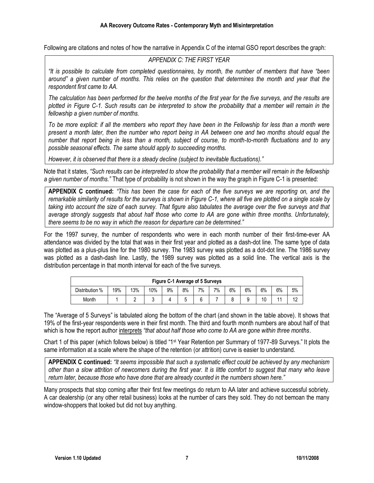Following are citations and notes of how the narrative in Appendix C of the internal GSO report describes the graph:

#### *APPENDIX C: THE FIRST YEAR*

*"It is possible to calculate from completed questionnaires, by month, the number of members that have "been around" a given number of months. This relies on the question that determines the month and year that the respondent first came to AA.*

*The calculation has been performed for the twelve months of the first year for the five surveys, and the results are plotted in Figure C-1. Such results can be interpreted to show the probability that a member will remain in the fellowship a given number of months.*

*To be more explicit: if all the members who report they have been in the Fellowship for less than a month were present a month later, then the number who report being in AA between one and two months should equal the number that report being in less than a month, subject of course, to month-to-month fluctuations and to any possible seasonal effects. The same should apply to succeeding months.* 

*However, it is observed that there is a steady decline (subject to inevitable fluctuations)."*

Note that it states, *"Such results can be interpreted to show the probability that a member will remain in the fellowship a given number of months."* That type of probability is not shown in the way the graph in Figure C-1 is presented:

**APPENDIX C continued:** *"This has been the case for each of the five surveys we are reporting on, and the remarkable similarity of results for the surveys is shown in Figure C-1, where all five are plotted on a single scale by taking into account the size of each survey. That figure also tabulates the average over the five surveys and that average strongly suggests that about half those who come to AA are gone within three months. Unfortunately, there seems to be no way in which the reason for departure can be determined."*

For the 1997 survey, the number of respondents who were in each month number of their first-time-ever AA attendance was divided by the total that was in their first year and plotted as a dash-dot line. The same type of data was plotted as a plus-plus line for the 1980 survey. The 1983 survey was plotted as a dot-dot line. The 1986 survey was plotted as a dash-dash line. Lastly, the 1989 survey was plotted as a solid line. The vertical axis is the distribution percentage in that month interval for each of the five surveys.

|                        | Figure C-1 Average of 5 Surveys                                         |  |  |  |  |  |  |  |  |  |  |  |  |  |  |
|------------------------|-------------------------------------------------------------------------|--|--|--|--|--|--|--|--|--|--|--|--|--|--|
| Distribution %         | 6%<br>6%<br>6%<br>8%<br>6%<br>13%<br>10%<br>19%<br>9%<br>7%<br>5%<br>7% |  |  |  |  |  |  |  |  |  |  |  |  |  |  |
| 10<br>12<br>Month<br>Ο |                                                                         |  |  |  |  |  |  |  |  |  |  |  |  |  |  |

The "Average of 5 Surveys" is tabulated along the bottom of the chart (and shown in the table above). It shows that 19% of the first-year respondents were in their first month. The third and fourth month numbers are about half of that which is how the report author interprets *"that about half those who come to AA are gone within three months*.

Chart 1 of this paper (which follows below) is titled "1st Year Retention per Summary of 1977-89 Surveys." It plots the same information at a scale where the shape of the retention (or attrition) curve is easier to understand.

**APPENDIX C continued:** *"It seems impossible that such a systematic effect could be achieved by any mechanism other than a slow attrition of newcomers during the first year. It is little comfort to suggest that many who leave return later, because those who have done that are already counted in the numbers shown here."*

Many prospects that stop coming after their first few meetings do return to AA later and achieve successful sobriety. A car dealership (or any other retail business) looks at the number of cars they sold. They do not bemoan the many window-shoppers that looked but did not buy anything.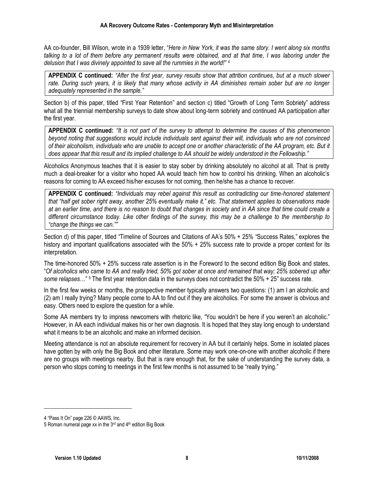AA co-founder, Bill Wilson, wrote in a 1939 letter, "*Here in New York, it was the same story. I went along six months talking to a lot of them before any permanent results were obtained, and at that time, I was laboring under the delusion that I was divinely appointed to save all the rummies in the world!"* <sup>4</sup>

**APPENDIX C continued:** *"After the first year, survey results show that attrition continues, but at a much slower rate. During such years, it is likely that many whose activity in AA diminishes remain sober but are no longer adequately represented in the sample."*

Section b) of this paper, titled "First Year Retention" and section c) titled "Growth of Long Term Sobriety" address what all the triennial membership surveys to date show about long-term sobriety and continued AA participation after the first year.

**APPENDIX C continued:** *"It is not part of the survey to attempt to determine the causes of this phenomenon beyond noting that suggestions would include individuals sent against their will, individuals who are not convinced of their alcoholism, individuals who are unable to accept one or another characteristic of the AA program, etc. But it does appear that this result and its implied challenge to AA should be widely understood in the Fellowship."*

Alcoholics Anonymous teaches that it is easier to stay sober by drinking absolutely no alcohol at all. That is pretty much a deal-breaker for a visitor who hoped AA would teach him how to control his drinking. When an alcoholic's reasons for coming to AA exceed his/her excuses for not coming, then he/she has a chance to recover.

**APPENDIX C continued:** *"Individuals may rebel against this result as contradicting our time-honored statement that "half get sober right away, another 25% eventually make it," etc. That statement applies to observations made at an earlier time, and there is no reason to doubt that changes in society and in AA since that time could create a different circumstance today. Like other findings of the survey, this may be a challenge to the membership to "change the things we can.""*

Section d) of this paper, titled "Timeline of Sources and Citations of AA's 50% + 25% "Success Rates," explores the history and important qualifications associated with the 50% + 25% success rate to provide a proper context for its interpretation.

The time-honored 50% + 25% success rate assertion is in the Foreword to the second edition Big Book and states, "*Of alcoholics who came to AA and really tried, 50% got sober at once and remained that way; 25% sobered up after some relapses*…" <sup>5</sup> The first year retention data in the surveys does not contradict the 50% + 25" success rate.

In the first few weeks or months, the prospective member typically answers two questions: (1) am I an alcoholic and (2) am I really trying? Many people come to AA to find out if they are alcoholics. For some the answer is obvious and easy. Others need to explore the question for a while.

Some AA members try to impress newcomers with rhetoric like, "You wouldn't be here if you weren't an alcoholic." However, in AA each individual makes his or her own diagnosis. It is hoped that they stay long enough to understand what it means to be an alcoholic and make an informed decision.

Meeting attendance is not an absolute requirement for recovery in AA but it certainly helps. Some in isolated places have gotten by with only the Big Book and other literature. Some may work one-on-one with another alcoholic if there are no groups with meetings nearby. But that is rare enough that, for the sake of understanding the survey data, a person who stops coming to meetings in the first few months is not assumed to be "really trying."

 $\overline{a}$ 

<sup>4</sup> "Pass It On" page 226 © AAWS, Inc.

<sup>5</sup> Roman numeral page xx in the 3rd and 4th edition Big Book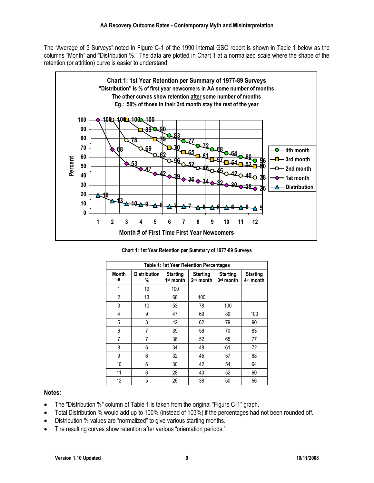The "Average of 5 Surveys" noted in Figure C-1 of the 1990 internal GSO report is shown in Table 1 below as the columns "Month" and "Distribution %." The data are plotted in Chart 1 at a normalized scale where the shape of the retention (or attrition) curve is easier to understand.



**Chart 1: 1st Year Retention per Summary of 1977-89 Surveys**

|                   |                          |                                | Table 1: 1st Year Retention Percentages  |                              |                                          |
|-------------------|--------------------------|--------------------------------|------------------------------------------|------------------------------|------------------------------------------|
| <b>Month</b><br># | <b>Distribution</b><br>% | <b>Starting</b><br>$1st$ month | <b>Starting</b><br>2 <sup>nd</sup> month | <b>Starting</b><br>3rd month | <b>Starting</b><br>4 <sup>th</sup> month |
| 1                 | 19                       | 100                            |                                          |                              |                                          |
| 2                 | 13                       | 68                             | 100                                      |                              |                                          |
| 3                 | 10                       | 53                             | 78                                       | 100                          |                                          |
| 4                 | 9                        | 47                             | 69                                       | 89                           | 100                                      |
| 5                 | 8                        | 42                             | 62                                       | 79                           | 90                                       |
| 6                 | 7                        | 39                             | 56                                       | 70                           | 83                                       |
| 7                 | 7                        | 36                             | 52                                       | 65                           | 77                                       |
| 8                 | 6                        | 34                             | 48                                       | 61                           | 72                                       |
| 9                 | 6                        | 32                             | 45                                       | 57                           | 68                                       |
| 10                | 6                        | 30                             | 42                                       | 54                           | 64                                       |
| 11                | 6                        | 28                             | 40                                       | 52                           | 60                                       |
| 12                | 5                        | 26                             | 38                                       | 50                           | 56                                       |

#### **Notes:**

- The "Distribution %" column of Table 1 is taken from the original "Figure C-1" graph.
- Total Distribution % would add up to 100% (instead of 103%) if the percentages had not been rounded off.
- Distribution % values are "normalized" to give various starting months.
- The resulting curves show retention after various "orientation periods."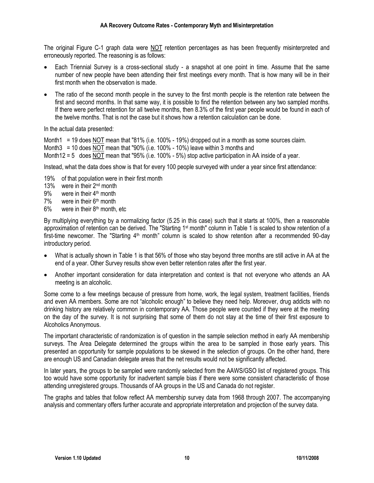The original Figure C-1 graph data were NOT retention percentages as has been frequently misinterpreted and erroneously reported. The reasoning is as follows:

- Each Triennial Survey is a cross-sectional study a snapshot at one point in time. Assume that the same number of new people have been attending their first meetings every month. That is how many will be in their first month when the observation is made.
- The ratio of the second month people in the survey to the first month people is the retention rate between the first and second months. In that same way, it is possible to find the retention between any two sampled months. If there were perfect retention for all twelve months, then 8.3% of the first year people would be found in each of the twelve months. That is not the case but it shows how a retention calculation can be done.

In the actual data presented:

Month1 = 19 does NOT mean that "81% (i.e. 100% - 19%) dropped out in a month as some sources claim. Month3 = 10 does NOT mean that "90% (i.e. 100% - 10%) leave within 3 months and Month12 = 5 does NOT mean that "95% (i.e. 100% - 5%) stop active participation in AA inside of a year.

Instead, what the data does show is that for every 100 people surveyed with under a year since first attendance:

- 19% of that population were in their first month
- 13% were in their 2<sup>nd</sup> month
- 9% were in their 4<sup>th</sup> month
- $7\%$  were in their  $6<sup>th</sup>$  month
- $6\%$  were in their  $8<sup>th</sup>$  month, etc

By multiplying everything by a normalizing factor (5.25 in this case) such that it starts at 100%, then a reasonable approximation of retention can be derived. The "Starting 1<sup>st</sup> month" column in Table 1 is scaled to show retention of a first-time newcomer. The "Starting  $4<sup>th</sup>$  month" column is scaled to show retention after a recommended 90-day introductory period.

- What is actually shown in Table 1 is that 56% of those who stay beyond three months are still active in AA at the end of a year. Other Survey results show even better retention rates after the first year.
- Another important consideration for data interpretation and context is that not everyone who attends an AA meeting is an alcoholic.

Some come to a few meetings because of pressure from home, work, the legal system, treatment facilities, friends and even AA members. Some are not "alcoholic enough" to believe they need help. Moreover, drug addicts with no drinking history are relatively common in contemporary AA. Those people were counted if they were at the meeting on the day of the survey. It is not surprising that some of them do not stay at the time of their first exposure to Alcoholics Anonymous.

The important characteristic of randomization is of question in the sample selection method in early AA membership surveys. The Area Delegate determined the groups within the area to be sampled in those early years. This presented an opportunity for sample populations to be skewed in the selection of groups. On the other hand, there are enough US and Canadian delegate areas that the net results would not be significantly affected.

In later years, the groups to be sampled were randomly selected from the AAWS/GSO list of registered groups. This too would have some opportunity for inadvertent sample bias if there were some consistent characteristic of those attending unregistered groups. Thousands of AA groups in the US and Canada do not register.

The graphs and tables that follow reflect AA membership survey data from 1968 through 2007. The accompanying analysis and commentary offers further accurate and appropriate interpretation and projection of the survey data.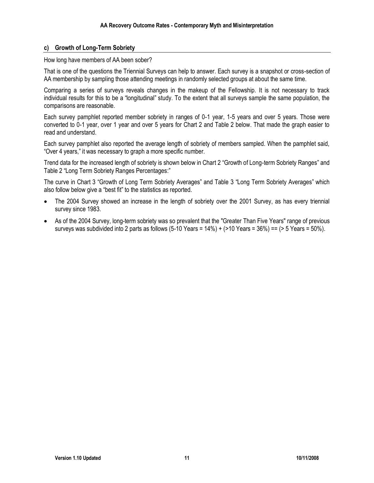#### **c) Growth of Long-Term Sobriety**

How long have members of AA been sober?

That is one of the questions the Triennial Surveys can help to answer. Each survey is a snapshot or cross-section of AA membership by sampling those attending meetings in randomly selected groups at about the same time.

Comparing a series of surveys reveals changes in the makeup of the Fellowship. It is not necessary to track individual results for this to be a "longitudinal" study. To the extent that all surveys sample the same population, the comparisons are reasonable.

Each survey pamphlet reported member sobriety in ranges of 0-1 year, 1-5 years and over 5 years. Those were converted to 0-1 year, over 1 year and over 5 years for Chart 2 and Table 2 below. That made the graph easier to read and understand.

Each survey pamphlet also reported the average length of sobriety of members sampled. When the pamphlet said, "Over 4 years," it was necessary to graph a more specific number.

Trend data for the increased length of sobriety is shown below in Chart 2 "Growth of Long-term Sobriety Ranges" and Table 2 "Long Term Sobriety Ranges Percentages:"

The curve in Chart 3 "Growth of Long Term Sobriety Averages" and Table 3 "Long Term Sobriety Averages" which also follow below give a "best fit" to the statistics as reported.

- The 2004 Survey showed an increase in the length of sobriety over the 2001 Survey, as has every triennial survey since 1983.
- As of the 2004 Survey, long-term sobriety was so prevalent that the "Greater Than Five Years" range of previous surveys was subdivided into 2 parts as follows  $(5-10 \text{ Years} = 14\%) + (210 \text{ Years} = 36\%) = (25 \text{ Years} = 50\%).$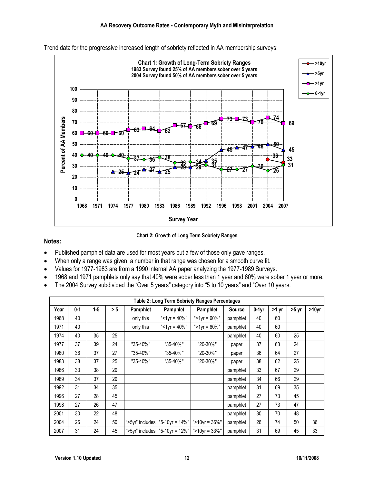

Trend data for the progressive increased length of sobriety reflected in AA membership surveys:



#### **Notes:**

- Published pamphlet data are used for most years but a few of those only gave ranges.
- When only a range was given, a number in that range was chosen for a smooth curve fit.
- Values for 1977-1983 are from a 1990 internal AA paper analyzing the 1977-1989 Surveys.
- 1968 and 1971 pamphlets only say that 40% were sober less than 1 year and 60% were sober 1 year or more.
- The 2004 Survey subdivided the "Over 5 years" category into "5 to 10 years" and "Over 10 years.

|      |         |         |     |                 |                                      | Table 2: Long Term Sobriety Ranges Percentages |               |         |         |         |                   |
|------|---------|---------|-----|-----------------|--------------------------------------|------------------------------------------------|---------------|---------|---------|---------|-------------------|
| Year | $0 - 1$ | $1 - 5$ | > 5 | Pamphlet        | Pamphlet                             | Pamphlet                                       | <b>Source</b> | $0-1yr$ | $>1$ yr | $>5$ yr | >10 <sub>yr</sub> |
| 1968 | 40      |         |     | only this       | "<1 $vr = 40\%$ "                    | ">1yr = 60%"                                   | pamphlet      | 40      | 60      |         |                   |
| 1971 | 40      |         |     | only this       | "<1yr = $40\%$ "                     | ">1yr = 60%"                                   | pamphlet      | 40      | 60      |         |                   |
| 1974 | 40      | 35      | 25  |                 |                                      |                                                | pamphlet      | 40      | 60      | 25      |                   |
| 1977 | 37      | 39      | 24  | "35-40%"        | "35-40%"                             | "20-30%"                                       | paper         | 37      | 63      | 24      |                   |
| 1980 | 36      | 37      | 27  | "35-40%"        | "35-40%"                             | "20-30%"                                       | paper         | 36      | 64      | 27      |                   |
| 1983 | 38      | 37      | 25  | "35-40%"        | "35-40%"                             | "20-30%"                                       | paper         | 38      | 62      | 25      |                   |
| 1986 | 33      | 38      | 29  |                 |                                      |                                                | pamphlet      | 33      | 67      | 29      |                   |
| 1989 | 34      | 37      | 29  |                 |                                      |                                                | pamphlet      | 34      | 66      | 29      |                   |
| 1992 | 31      | 34      | 35  |                 |                                      |                                                | pamphlet      | 31      | 69      | 35      |                   |
| 1996 | 27      | 28      | 45  |                 |                                      |                                                | pamphlet      | 27      | 73      | 45      |                   |
| 1998 | 27      | 26      | 47  |                 |                                      |                                                | pamphlet      | 27      | 73      | 47      |                   |
| 2001 | 30      | 22      | 48  |                 |                                      |                                                | pamphlet      | 30      | 70      | 48      |                   |
| 2004 | 26      | 24      | 50  | ">5yr" includes | "5-10yr = $14\%$ "                   | ">10yr = $36\%$ "                              | pamphlet      | 26      | 74      | 50      | 36                |
| 2007 | 31      | 24      | 45  |                 | ">5yr" includes   "5-10yr = $12\%$ " | " $>10$ vr = 33%"                              | pamphlet      | 31      | 69      | 45      | 33                |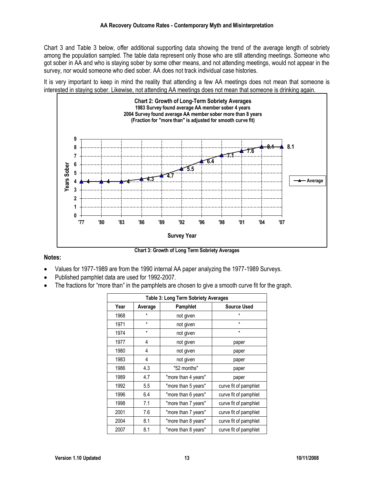Chart 3 and Table 3 below, offer additional supporting data showing the trend of the average length of sobriety among the population sampled. The table data represent only those who are still attending meetings. Someone who got sober in AA and who is staying sober by some other means, and not attending meetings, would not appear in the survey, nor would someone who died sober. AA does not track individual case histories.

It is very important to keep in mind the reality that attending a few AA meetings does not mean that someone is interested in staying sober. Likewise, not attending AA meetings does not mean that someone is drinking again.



#### **Notes:**

**Chart 3: Growth of Long Term Sobriety Averages**

- Values for 1977-1989 are from the 1990 internal AA paper analyzing the 1977-1989 Surveys.
- Published pamphlet data are used for 1992-2007.
- The fractions for "more than" in the pamphlets are chosen to give a smooth curve fit for the graph.

|      |         | Table 3: Long Term Sobriety Averages |                       |
|------|---------|--------------------------------------|-----------------------|
| Year | Average | Pamphlet                             | <b>Source Used</b>    |
| 1968 | $\star$ | not given                            | $\star$               |
| 1971 | $\star$ | not given                            | $\star$               |
| 1974 | $\star$ | not given                            | $\star$               |
| 1977 | 4       | not given                            | paper                 |
| 1980 | 4       | not given                            | paper                 |
| 1983 | 4       | not given                            | paper                 |
| 1986 | 4.3     | "52 months"                          | paper                 |
| 1989 | 4.7     | "more than 4 years"                  | paper                 |
| 1992 | 5.5     | "more than 5 years"                  | curve fit of pamphlet |
| 1996 | 6.4     | "more than 6 years"                  | curve fit of pamphlet |
| 1998 | 7.1     | "more than 7 years"                  | curve fit of pamphlet |
| 2001 | 7.6     | "more than 7 years"                  | curve fit of pamphlet |
| 2004 | 8.1     | "more than 8 years"                  | curve fit of pamphlet |
| 2007 | 8.1     | "more than 8 years"                  | curve fit of pamphlet |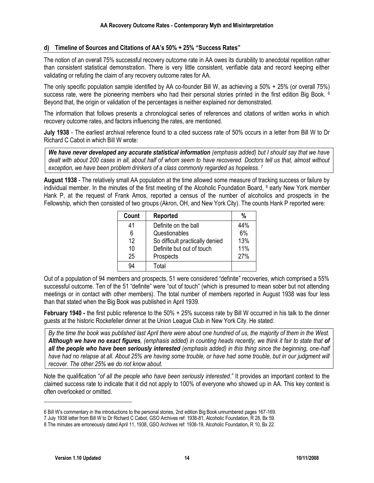#### **d) Timeline of Sources and Citations of AA's 50% + 25% "Success Rates"**

The notion of an overall 75% successful recovery outcome rate in AA owes its durability to anecdotal repetition rather than consistent statistical demonstration. There is very little consistent, verifiable data and record keeping either validating or refuting the claim of any recovery outcome rates for AA.

The only specific population sample identified by AA co-founder Bill W, as achieving a 50% + 25% (or overall 75%) success rate, were the pioneering members who had their personal stories printed in the first edition Big Book. <sup>6</sup> Beyond that, the origin or validation of the percentages is neither explained nor demonstrated.

The information that follows presents a chronological series of references and citations of written works in which recovery outcome rates, and factors influencing the rates, are mentioned.

**July 1938** - The earliest archival reference found to a cited success rate of 50% occurs in a letter from Bill W to Dr Richard C Cabot in which Bill W wrote:

*We have never developed any accurate statistical information (emphasis added) but I should say that we have dealt with about 200 cases in all, about half of whom seem to have recovered. Doctors tell us that, almost without exception, we have been problem drinkers of a class commonly regarded as hopeless.* <sup>7</sup>

**August 1938** - The relatively small AA population at the time allowed some measure of tracking success or failure by individual member. In the minutes of the first meeting of the Alcoholic Foundation Board, <sup>8</sup> early New York member Hank P, at the request of Frank Amos, reported a census of the number of alcoholics and prospects in the Fellowship, which then consisted of two groups (Akron, OH, and New York City). The counts Hank P reported were:

| Count | Reported                        | %   |
|-------|---------------------------------|-----|
| 41    | Definite on the ball            | 44% |
| 6     | Questionables                   | 6%  |
| 12    | So difficult practically denied | 13% |
| 10    | Definite but out of touch       | 11% |
| 25    | Prospects                       | 27% |
| 94    | Total                           |     |

Out of a population of 94 members and prospects, 51 were considered "definite" recoveries, which comprised a 55% successful outcome. Ten of the 51 "definite" were "out of touch" (which is presumed to mean sober but not attending meetings or in contact with other members). The total number of members reported in August 1938 was four less than that stated when the Big Book was published in April 1939.

**February 1940 -** the first public reference to the 50% + 25% success rate by Bill W occurred in his talk to the dinner guests at the historic Rockefeller dinner at the Union League Club in New York City. He stated:

*By the time the book was published last April there were about one hundred of us, the majority of them in the West. Although we have no exact figures, (emphasis added) in counting heads recently, we think it fair to state that of all the people who have been seriously interested (emphasis added) in this thing since the beginning, one-half*  have had no relapse at all. About 25% are having some trouble, or have had some trouble, but in our judgment will *recover. The other 25% we do not know about.*

Note the qualification "*of all the people who have been seriously interested*." It provides an important context to the claimed success rate to indicate that it did not apply to 100% of everyone who showed up in AA. This key context is often overlooked or omitted.

<sup>6</sup> Bill W's commentary in the introductions to the personal stories, 2nd edition Big Book unnumbered pages 167-169.

<sup>7</sup> July 1938 letter from Bill W to Dr Richard C Cabot, GSO Archives ref: 1938-81, Alcoholic Foundation, R 28, Bx 59.

<sup>8</sup> The minutes are erroneously dated April 11, 1938, GSO Archives ref: 1938-19, Alcoholic Foundation, R 10, Bx 22.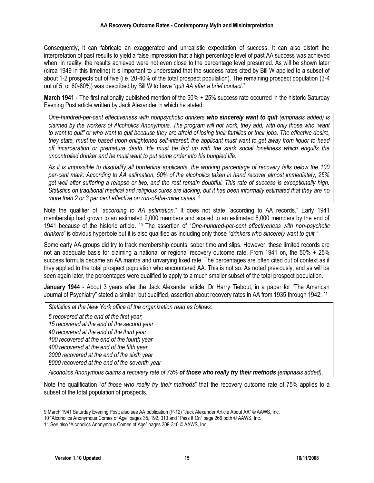Consequently, it can fabricate an exaggerated and unrealistic expectation of success. It can also distort the interpretation of past results to yield a false impression that a high percentage level of past AA success was achieved when, in reality, the results achieved were not even close to the percentage level presumed. As will be shown later (circa 1949 in this timeline) it is important to understand that the success rates cited by Bill W applied to a subset of about 1-2 prospects out of five (i.e. 20-40% of the total prospect population). The remaining prospect population (3-4 out of 5, or 60-80%) was described by Bill W to have "*quit AA after a brief contact*."

**March 1941** - The first nationally published mention of the 50% + 25% success rate occurred in the historic Saturday Evening Post article written by Jack Alexander in which he stated:

*One-hundred-per-cent effectiveness with nonpsychotic drinkers who sincerely want to quit (emphasis added) is claimed by the workers of Alcoholics Anonymous. The program will not work, they add, with only those who "want to want to quit" or who want to quit because they are afraid of losing their families or their jobs. The effective desire, they state, must be based upon enlightened self-interest; the applicant must want to get away from liquor to head off incarceration or premature death. He must be fed up with the stark social loneliness which engulfs the uncontrolled drinker and he must want to put some order into his bungled life.*

*As it is impossible to disqualify all borderline applicants, the working percentage of recovery falls below the 100 per-cent mark. According to AA estimation, 50% of the alcoholics taken in hand recover almost immediately; 25% get well after suffering a relapse or two, and the rest remain doubtful. This rate of success is exceptionally high. Statistics on traditional medical and religious cures are lacking, but it has been informally estimated that they are no more than 2 or 3 per cent effective on run-of-the-mine cases. <sup>9</sup>*

Note the qualifier of "*according to AA estimation*." It does not state "according to AA records." Early 1941 membership had grown to an estimated 2,000 members and soared to an estimated 8,000 members by the end of 1941 because of the historic article. <sup>10</sup> The assertion of "*One-hundred-per-cent effectiveness with non-psychotic drinkers*" is obvious hyperbole but it is also qualified as including only those *"drinkers who sincerely want to quit."* 

Some early AA groups did try to track membership counts, sober time and slips. However, these limited records are not an adequate basis for claiming a national or regional recovery outcome rate. From 1941 on, the 50% + 25% success formula became an AA mantra and unvarying fixed rate. The percentages are often cited out of context as if they applied to the total prospect population who encountered AA. This is not so. As noted previously, and as will be seen again later, the percentages were qualified to apply to a much smaller subset of the total prospect population.

**January 1944** - About 3 years after the Jack Alexander article, Dr Harry Tiebout, in a paper for "The American Journal of Psychiatry" stated a similar, but qualified, assertion about recovery rates in AA from 1935 through 1942: <sup>11</sup>

*Statistics at the New York office of the organization read as follows*: *5 recovered at the end of the first year, 15 recovered at the end of the second year 40 recovered at the end of the third year 100 recovered at the end of the fourth year 400 recovered at the end of the fifth year 2000 recovered at the end of the sixth year 8000 recovered at the end of the seventh year Alcoholics Anonymous claims a recovery rate of 75% of those who really try their methods (emphasis added)."*

Note the qualification "*of those who really try their methods*" that the recovery outcome rate of 75% applies to a subset of the total population of prospects.

<sup>9</sup> March 1941 Saturday Evening Post; also see AA publication (P-12) "Jack Alexander Article About AA" © AAWS, Inc.

<sup>10</sup> "Alcoholics Anonymous Comes of Age" pages 35, 192, 310 and "Pass It On" page 266 both © AAWS, Inc.

<sup>11</sup> See also "Alcoholics Anonymous Comes of Age" pages 309-310 © AAWS, Inc.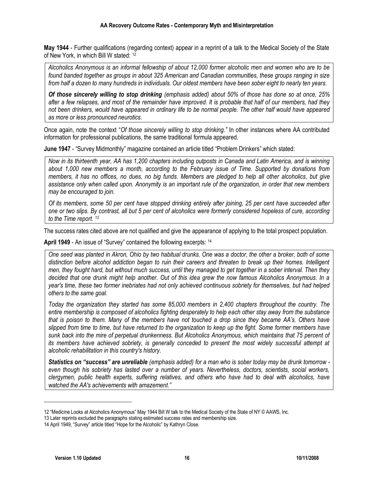**May 1944** - Further qualifications (regarding context) appear in a reprint of a talk to the Medical Society of the State of New York, in which Bill W stated: 12

*Alcoholics Anonymous is an informal fellowship of about 12,000 former alcoholic men and women who are to be found banded together as groups in about 325 American and Canadian communities, these groups ranging in size from half a dozen to many hundreds in individuals. Our oldest members have been sober eight to nearly ten years.*

*Of those sincerely willing to stop drinking (emphasis added) about 50% of those has done so at once, 25% after a few relapses, and most of the remainder have improved. It is probable that half of our members, had they not been drinkers, would have appeared in ordinary life to be normal people. The other half would have appeared as more or less pronounced neurotics.*

Once again, note the context "*Of those sincerely willing to stop drinking."* In other instances where AA contributed information for professional publications, the same traditional formula appeared.

**June 1947** - "Survey Midmonthly" magazine contained an article titled "Problem Drinkers" which stated:

*Now in its thirteenth year, AA has 1,200 chapters including outposts in Canada and Latin America, and is winning about 1,000 new members a month, according to the February issue of Time. Supported by donations from members, it has no offices, no dues, no big funds. Members are pledged to help all other alcoholics, but give assistance only when called upon. Anonymity is an important rule of the organization, in order that new members may be encouraged to join.* 

*Of its members, some 50 per cent have stopped drinking entirely after joining, 25 per cent have succeeded after one or two slips. By contrast, all but 5 per cent of alcoholics were formerly considered hopeless of cure, according to the Time report. <sup>13</sup>*

The success rates cited above are not qualified and give the appearance of applying to the total prospect population.

**April 1949** - An issue of "Survey" contained the following excerpts: <sup>14</sup>

*One seed was planted in Akron, Ohio by two habitual drunks. One was a doctor, the other a broker, both of some distinction before alcohol addiction began to ruin their careers and threaten to break up their homes. Intelligent men, they fought hard, but without much success, until they managed to get together in a sober interval. Then they decided that one drunk might help another. Out of this idea grew the now famous Alcoholics Anonymous. In a year's time, these two former inebriates had not only achieved continuous sobriety for themselves, but had helped others to the same goal.* 

*Today the organization they started has some 85,000 members in 2,400 chapters throughout the country. The entire membership is composed of alcoholics fighting desperately to help each other stay away from the substance that is poison to them. Many of the members have not touched a drop since they became AA's. Others have slipped from time to time, but have returned to the organization to keep up the fight. Some former members have sunk back into the mire of perpetual drunkenness. But Alcoholics Anonymous, which maintains that 75 percent of its members have achieved sobriety, is generally conceded to present the most widely successful attempt at alcoholic rehabilitation in this country's history.*

*Statistics on "success" are unreliable (emphasis added) for a man who is sober today may be drunk tomorrow even though his sobriety has lasted over a number of years. Nevertheless, doctors, scientists, social workers, clergymen, public health experts, suffering relatives, and others who have had to deal with alcoholics, have watched the AA's achievements with amazement."*

<sup>12</sup> "Medicine Looks at Alcoholics Anonymous" May 1944 Bill W talk to the Medical Society of the State of NY © AAWS, Inc.

<sup>13</sup> Later reprints excluded the paragraphs stating estimated success rates and membership size.

<sup>14</sup> April 1949, "Survey" article titled "Hope for the Alcoholic" by Kathryn Close.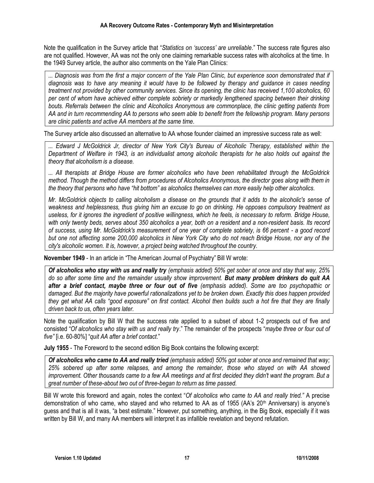Note the qualification in the Survey article that "*Statistics on 'success' are unreliable*." The success rate figures also are not qualified. However, AA was not the only one claiming remarkable success rates with alcoholics at the time. In the 1949 Survey article, the author also comments on the Yale Plan Clinics:

*... Diagnosis was from the first a major concern of the Yale Plan Clinic, but experience soon demonstrated that if diagnosis was to have any meaning it would have to be followed by therapy and guidance in cases needing treatment not provided by other community services. Since its opening, the clinic has received 1,100 alcoholics, 60 per cent of whom have achieved either complete sobriety or markedly lengthened spacing between their drinking bouts. Referrals between the clinic and Alcoholics Anonymous are commonplace, the clinic getting patients from AA and in turn recommending AA to persons who seem able to benefit from the fellowship program. Many persons are clinic patients and active AA members at the same time.*

The Survey article also discussed an alternative to AA whose founder claimed an impressive success rate as well:

*... Edward J McGoldrick Jr, director of New York City's Bureau of Alcoholic Therapy, established within the Department of Welfare in 1943, is an individualist among alcoholic therapists for he also holds out against the theory that alcoholism is a disease.*

*... All therapists at Bridge House are former alcoholics who have been rehabilitated through the McGoldrick method. Though the method differs from procedures of Alcoholics Anonymous, the director goes along with them in the theory that persons who have "hit bottom" as alcoholics themselves can more easily help other alcoholics.*

*Mr. McGoldrick objects to calling alcoholism a disease on the grounds that it adds to the alcoholic's sense of weakness and helplessness, thus giving him an excuse to go on drinking. He opposes compulsory treatment as useless, for it ignores the ingredient of positive willingness, which he feels, is necessary to reform. Bridge House,*  with only twenty beds, serves about 350 alcoholics a year, both on a resident and a non-resident basis. Its record *of success, using Mr. McGoldrick's measurement of one year of complete sobriety, is 66 percent - a good record but one not affecting some 200,000 alcoholics in New York City who do not reach Bridge House, nor any of the city's alcoholic women. It is, however, a project being watched throughout the country.*

**November 1949** - In an article in "The American Journal of Psychiatry" Bill W wrote:

*Of alcoholics who stay with us and really try (emphasis added) 50% get sober at once and stay that way, 25% do so after some time and the remainder usually show improvement. But many problem drinkers do quit AA after a brief contact, maybe three or four out of five (emphasis added). Some are too psychopathic or damaged. But the majority have powerful rationalizations yet to be broken down. Exactly this does happen provided they get what AA calls "good exposure" on first contact. Alcohol then builds such a hot fire that they are finally driven back to us, often years later.*

Note the qualification by Bill W that the success rate applied to a subset of about 1-2 prospects out of five and consisted "*Of alcoholics who stay with us and really try*." The remainder of the prospects "*maybe three or four out of five"* [i.e. 60-80%] "*quit AA after a brief contact*."

**July 1955** - The Foreword to the second edition Big Book contains the following excerpt:

*Of alcoholics who came to AA and really tried (emphasis added) 50% got sober at once and remained that way; 25% sobered up after some relapses, and among the remainder, those who stayed on with AA showed improvement. Other thousands came to a few AA meetings and at first decided they didn't want the program. But a great number of these-about two out of three-began to return as time passed.*

Bill W wrote this foreword and again, notes the context "*Of alcoholics who came to AA and really tried."* A precise demonstration of who came, who stayed and who returned to AA as of 1955 (AA's 20<sup>th</sup> Anniversary) is anyone's guess and that is all it was, "a best estimate." However, put something, anything, in the Big Book, especially if it was written by Bill W, and many AA members will interpret it as infallible revelation and beyond refutation.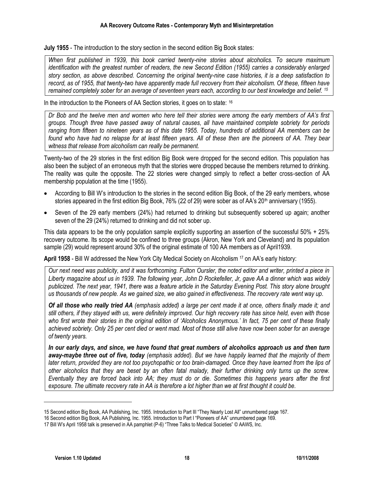**July 1955** - The introduction to the story section in the second edition Big Book states:

*When first published in 1939, this book carried twenty-nine stories about alcoholics. To secure maximum identification with the greatest number of readers, the new Second Edition (1955) carries a considerably enlarged story section, as above described. Concerning the original twenty-nine case histories, it is a deep satisfaction to record, as of 1955, that twenty-two have apparently made full recovery from their alcoholism. Of these, fifteen have remained completely sober for an average of seventeen years each, according to our best knowledge and belief. <sup>15</sup>*

In the introduction to the Pioneers of AA Section stories, it goes on to state: <sup>16</sup>

*Dr Bob and the twelve men and women who here tell their stories were among the early members of AA's first groups. Though three have passed away of natural causes, all have maintained complete sobriety for periods ranging from fifteen to nineteen years as of this date 1955. Today, hundreds of additional AA members can be found who have had no relapse for at least fifteen years. All of these then are the pioneers of AA. They bear witness that release from alcoholism can really be permanent.*

Twenty-two of the 29 stories in the first edition Big Book were dropped for the second edition. This population has also been the subject of an erroneous myth that the stories were dropped because the members returned to drinking. The reality was quite the opposite. The 22 stories were changed simply to reflect a better cross-section of AA membership population at the time (1955).

- According to Bill W's introduction to the stories in the second edition Big Book, of the 29 early members, whose stories appeared in the first edition Big Book, 76% (22 of 29) were sober as of AA's 20<sup>th</sup> anniversary (1955).
- Seven of the 29 early members (24%) had returned to drinking but subsequently sobered up again; another seven of the 29 (24%) returned to drinking and did not sober up.

This data appears to be the only population sample explicitly supporting an assertion of the successful 50% + 25% recovery outcome. Its scope would be confined to three groups (Akron, New York and Cleveland) and its population sample (29) would represent around 30% of the original estimate of 100 AA members as of April1939.

**April 1958** - Bill W addressed the New York City Medical Society on Alcoholism <sup>17</sup> on AA's early history:

*Our next need was publicity, and it was forthcoming. Fulton Oursler, the noted editor and writer, printed a piece in Liberty magazine about us in 1939. The following year, John D Rockefeller, Jr, gave AA a dinner which was widely publicized. The next year, 1941, there was a feature article in the Saturday Evening Post. This story alone brought us thousands of new people. As we gained size, we also gained in effectiveness. The recovery rate went way up.*

*Of all those who really tried AA (emphasis added) a large per cent made it at once, others finally made it; and still others, if they stayed with us, were definitely improved. Our high recovery rate has since held, even with those who first wrote their stories in the original edition of 'Alcoholics Anonymous.' In fact, 75 per cent of these finally achieved sobriety. Only 25 per cent died or went mad. Most of those still alive have now been sober for an average of twenty years.*

*In our early days, and since, we have found that great numbers of alcoholics approach us and then turn away-maybe three out of five, today (emphasis added). But we have happily learned that the majority of them later return, provided they are not too psychopathic or too brain-damaged. Once they have learned from the lips of other alcoholics that they are beset by an often fatal malady, their further drinking only turns up the screw. Eventually they are forced back into AA; they must do or die. Sometimes this happens years after the first exposure. The ultimate recovery rate in AA is therefore a lot higher than we at first thought it could be.*

<sup>15</sup> Second edition Big Book, AA Publishing, Inc. 1955. Introduction to Part III "They Nearly Lost All" unnumbered page 167.

<sup>16</sup> Second edition Big Book, AA Publishing, Inc. 1955. Introduction to Part I "Pioneers of AA" unnumbered page 169.

<sup>17</sup> Bill W's April 1958 talk is preserved in AA pamphlet (P-6) "Three Talks to Medical Societies" © AAWS, Inc.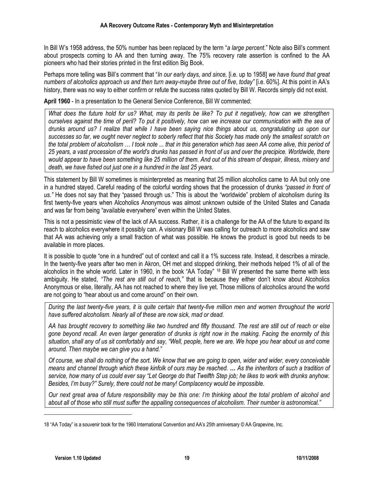In Bill W's 1958 address, the 50% number has been replaced by the term "*a large percent*." Note also Bill's comment about prospects coming to AA and then turning away. The 75% recovery rate assertion is confined to the AA pioneers who had their stories printed in the first edition Big Book.

Perhaps more telling was Bill's comment that "*In our early days, and since,* [i.e. up to 1958] *we have found that great numbers of alcoholics approach us and then turn away-maybe three out of five*, *today"* [i.e. 60%]. At this point in AA's history, there was no way to either confirm or refute the success rates quoted by Bill W. Records simply did not exist.

**April 1960** - In a presentation to the General Service Conference, Bill W commented:

*What does the future hold for us? What, may its perils be like? To put it negatively, how can we strengthen ourselves against the time of peril? To put it positively, how can we increase our communication with the sea of drunks around us? I realize that while I have been saying nice things about us, congratulating us upon our successes so far, we ought never neglect to soberly reflect that this Society has made only the smallest scratch on the total problem of alcoholism … I took note ... that in this generation which has seen AA come alive, this period of 25 years, a vast procession of the world's drunks has passed in front of us and over the precipice. Worldwide, there would appear to have been something like 25 million of them. And out of this stream of despair, illness, misery and death, we have fished out just one in a hundred in the last 25 years.*

This statement by Bill W sometimes is misinterpreted as meaning that 25 million alcoholics came to AA but only one in a hundred stayed. Careful reading of the colorful wording shows that the procession of drunks *"passed in front of us."* He does not say that they "passed through us." This is about the "worldwide" problem of alcoholism during its first twenty-five years when Alcoholics Anonymous was almost unknown outside of the United States and Canada and was far from being "available everywhere" even within the United States.

This is not a pessimistic view of the lack of AA success. Rather, it is a challenge for the AA of the future to expand its reach to alcoholics everywhere it possibly can. A visionary Bill W was calling for outreach to more alcoholics and saw that AA was achieving only a small fraction of what was possible. He knows the product is good but needs to be available in more places.

It is possible to quote "one in a hundred" out of context and call it a 1% success rate. Instead, it describes a miracle. In the twenty-five years after two men in Akron, OH met and stopped drinking, their methods helped 1% of all of the alcoholics in the whole world. Later in 1960, in the book "AA Today" <sup>18</sup> Bill W presented the same theme with less ambiguity. He stated, *"The rest are still out of reach,"* that is because they either don't know about Alcoholics Anonymous or else, literally, AA has not reached to where they live yet. Those millions of alcoholics around the world are not going to "hear about us and come around" on their own.

*During the last twenty-five years, it is quite certain that twenty-five million men and women throughout the world have suffered alcoholism. Nearly all of these are now sick, mad or dead.* 

*AA has brought recovery to something like two hundred and fifty thousand. The rest are still out of reach or else gone beyond recall. An even larger generation of drunks is right now in the making. Facing the enormity of this situation, shall any of us sit comfortably and say, "Well, people, here we are. We hope you hear about us and come around. Then maybe we can give you a hand."*

*Of course, we shall do nothing of the sort. We know that we are going to open, wider and wider, every conceivable means and channel through which these kinfolk of ours may be reached. … As the inheritors of such a tradition of service, how many of us could ever say "Let George do that Twelfth Step job; he likes to work with drunks anyhow. Besides, I'm busy?" Surely, there could not be many! Complacency would be impossible.* 

*Our next great area of future responsibility may be this one: I'm thinking about the total problem of alcohol and about all of those who still must suffer the appalling consequences of alcoholism. Their number is astronomical."*

<sup>18</sup> "AA Today" is a souvenir book for the 1960 International Convention and AA's 25th anniversary © AA Grapevine, Inc.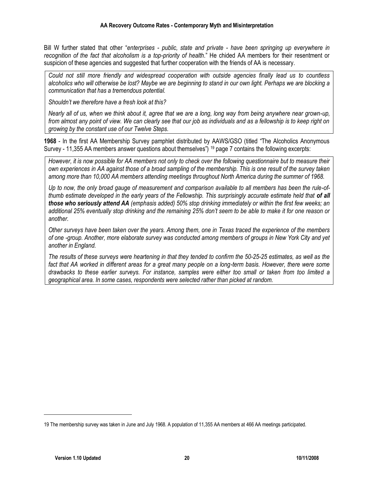Bill W further stated that other "*enterprises - public, state and private - have been springing up everywhere in recognition of the fact that alcoholism is a top-priority of health*." He chided AA members for their resentment or suspicion of these agencies and suggested that further cooperation with the friends of AA is necessary.

*Could not still more friendly and widespread cooperation with outside agencies finally lead us to countless alcoholics who will otherwise be lost? Maybe we are beginning to stand in our own light. Perhaps we are blocking a communication that has a tremendous potential.* 

*Shouldn't we therefore have a fresh look at this?*

*Nearly all of us, when we think about it, agree that we are a long, long way from being anywhere near grown-up, from almost any point of view. We can clearly see that our job as individuals and as a fellowship is to keep right on growing by the constant use of our Twelve Steps.*

**1968** - In the first AA Membership Survey pamphlet distributed by AAWS/GSO (titled "The Alcoholics Anonymous Survey - 11,355 AA members answer questions about themselves") <sup>19</sup> page 7 contains the following excerpts:

*However, it is now possible for AA members not only to check over the following questionnaire but to measure their own experiences in AA against those of a broad sampling of the membership. This is one result of the survey taken among more than 10,000 AA members attending meetings throughout North America during the summer of 1968.* 

*Up to now, the only broad gauge of measurement and comparison available to all members has been the rule-ofthumb estimate developed in the early years of the Fellowship. This surprisingly accurate estimate held that of all those who seriously attend AA (emphasis added) 50% stop drinking immediately or within the first few weeks; an additional 25% eventually stop drinking and the remaining 25% don't seem to be able to make it for one reason or another.*

*Other surveys have been taken over the years. Among them, one in Texas traced the experience of the members of one -group. Another, more elaborate survey was conducted among members of groups in New York City and yet another in England.* 

*The results of these surveys were heartening in that they tended to confirm the 50-25-25 estimates, as well as the*  fact that AA worked in different areas for a great many people on a long-term basis. However, there were some *drawbacks to these earlier surveys. For instance, samples were either too small or taken from too limited a geographical area. In some cases, respondents were selected rather than picked at random.*

<sup>19</sup> The membership survey was taken in June and July 1968. A population of 11,355 AA members at 466 AA meetings participated.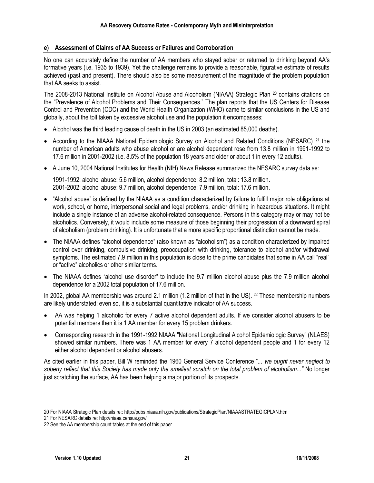#### **e) Assessment of Claims of AA Success or Failures and Corroboration**

No one can accurately define the number of AA members who stayed sober or returned to drinking beyond AA's formative years (i.e. 1935 to 1939). Yet the challenge remains to provide a reasonable, figurative estimate of results achieved (past and present). There should also be some measurement of the magnitude of the problem population that AA seeks to assist.

The 2008-2013 National Institute on Alcohol Abuse and Alcoholism (NIAAA) Strategic Plan <sup>20</sup> contains citations on the "Prevalence of Alcohol Problems and Their Consequences." The plan reports that the US Centers for Disease Control and Prevention (CDC) and the World Health Organization (WHO) came to similar conclusions in the US and globally, about the toll taken by excessive alcohol use and the population it encompasses:

- Alcohol was the third leading cause of death in the US in 2003 (an estimated 85,000 deaths).
- According to the NIAAA National Epidemiologic Survey on Alcohol and Related Conditions (NESARC) <sup>21</sup> the number of American adults who abuse alcohol or are alcohol dependent rose from 13.8 million in 1991-1992 to 17.6 million in 2001-2002 (i.e. 8.5% of the population 18 years and older or about 1 in every 12 adults).
- A June 10, 2004 National Institutes for Health (NIH) News Release summarized the NESARC survey data as:

1991-1992: alcohol abuse: 5.6 million, alcohol dependence: 8.2 million, total: 13.8 million. 2001-2002: alcohol abuse: 9.7 million, alcohol dependence: 7.9 million, total: 17.6 million.

- "Alcohol abuse" is defined by the NIAAA as a condition characterized by failure to fulfill major role obligations at work, school, or home, interpersonal social and legal problems, and/or drinking in hazardous situations. It might include a single instance of an adverse alcohol-related consequence. Persons in this category may or may not be alcoholics. Conversely, it would include some measure of those beginning their progression of a downward spiral of alcoholism (problem drinking). It is unfortunate that a more specific proportional distinction cannot be made.
- The NIAAA defines "alcohol dependence" (also known as "alcoholism") as a condition characterized by impaired control over drinking, compulsive drinking, preoccupation with drinking, tolerance to alcohol and/or withdrawal symptoms. The estimated 7.9 million in this population is close to the prime candidates that some in AA call "real" or "active" alcoholics or other similar terms.
- The NIAAA defines "alcohol use disorder" to include the 9.7 million alcohol abuse plus the 7.9 million alcohol dependence for a 2002 total population of 17.6 million.

In 2002, global AA membership was around 2.1 million (1.2 million of that in the US). <sup>22</sup> These membership numbers are likely understated; even so, it is a substantial quantitative indicator of AA success.

- AA was helping 1 alcoholic for every 7 active alcohol dependent adults. If we consider alcohol abusers to be potential members then it is 1 AA member for every 15 problem drinkers.
- Corresponding research in the 1991-1992 NIAAA "National Longitudinal Alcohol Epidemiologic Survey" (NLAES) showed similar numbers. There was 1 AA member for every 7 alcohol dependent people and 1 for every 12 either alcohol dependent or alcohol abusers.

As cited earlier in this paper, Bill W reminded the 1960 General Service Conference "... *we ought never neglect to soberly reflect that this Society has made only the smallest scratch on the total problem of alcoholism..."* No longer just scratching the surface, AA has been helping a major portion of its prospects.

<sup>20</sup> For NIAAA Strategic Plan details re:: http://pubs.niaaa.nih.gov/publications/StrategicPlan/NIAAASTRATEGICPLAN.htm

<sup>21</sup> For NESARC details re[: http://niaaa.census.gov/](http://niaaa.census.gov/)

<sup>22</sup> See the AA membership count tables at the end of this paper.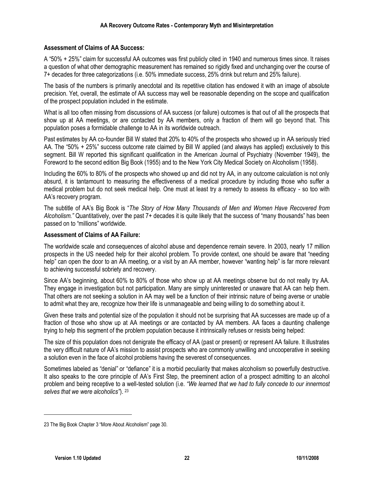#### **Assessment of Claims of AA Success:**

A "50% + 25%" claim for successful AA outcomes was first publicly cited in 1940 and numerous times since. It raises a question of what other demographic measurement has remained so rigidly fixed and unchanging over the course of 7+ decades for three categorizations (i.e. 50% immediate success, 25% drink but return and 25% failure).

The basis of the numbers is primarily anecdotal and its repetitive citation has endowed it with an image of absolute precision. Yet, overall, the estimate of AA success may well be reasonable depending on the scope and qualification of the prospect population included in the estimate.

What is all too often missing from discussions of AA success (or failure) outcomes is that out of all the prospects that show up at AA meetings, or are contacted by AA members, only a fraction of them will go beyond that. This population poses a formidable challenge to AA in its worldwide outreach.

Past estimates by AA co-founder Bill W stated that 20% to 40% of the prospects who showed up in AA seriously tried AA. The "50% + 25%" success outcome rate claimed by Bill W applied (and always has applied) exclusively to this segment. Bill W reported this significant qualification in the American Journal of Psychiatry (November 1949), the Foreword to the second edition Big Book (1955) and to the New York City Medical Society on Alcoholism (1958).

Including the 60% to 80% of the prospects who showed up and did not try AA, in any outcome calculation is not only absurd, it is tantamount to measuring the effectiveness of a medical procedure by including those who suffer a medical problem but do not seek medical help. One must at least try a remedy to assess its efficacy - so too with AA's recovery program.

The subtitle of AA's Big Book is "*The Story of How Many Thousands of Men and Women Have Recovered from Alcoholism."* Quantitatively, over the past 7+ decades it is quite likely that the success of "many thousands" has been passed on to "millions" worldwide.

#### **Assessment of Claims of AA Failure:**

The worldwide scale and consequences of alcohol abuse and dependence remain severe. In 2003, nearly 17 million prospects in the US needed help for their alcohol problem. To provide context, one should be aware that "needing help" can open the door to an AA meeting, or a visit by an AA member, however "wanting help" is far more relevant to achieving successful sobriety and recovery.

Since AA's beginning, about 60% to 80% of those who show up at AA meetings observe but do not really try AA. They engage in investigation but not participation. Many are simply uninterested or unaware that AA can help them. That others are not seeking a solution in AA may well be a function of their intrinsic nature of being averse or unable to admit what they are, recognize how their life is unmanageable and being willing to do something about it.

Given these traits and potential size of the population it should not be surprising that AA successes are made up of a fraction of those who show up at AA meetings or are contacted by AA members. AA faces a daunting challenge trying to help this segment of the problem population because it intrinsically refuses or resists being helped:

The size of this population does not denigrate the efficacy of AA (past or present) or represent AA failure. It illustrates the very difficult nature of AA's mission to assist prospects who are commonly unwilling and uncooperative in seeking a solution even in the face of alcohol problems having the severest of consequences.

Sometimes labeled as "denial" or "defiance" it is a morbid peculiarity that makes alcoholism so powerfully destructive. It also speaks to the core principle of AA's First Step, the preeminent action of a prospect admitting to an alcohol problem and being receptive to a well-tested solution (i.e. *"We learned that we had to fully concede to our innermost selves that we were alcoholics"*). <sup>23</sup>

<sup>23</sup> The Big Book Chapter 3 "More About Alcoholism" page 30.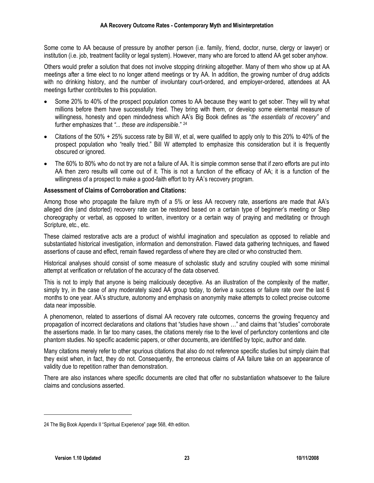Some come to AA because of pressure by another person (i.e. family, friend, doctor, nurse, clergy or lawyer) or institution (i.e. job, treatment facility or legal system). However, many who are forced to attend AA get sober anyhow.

Others would prefer a solution that does not involve stopping drinking altogether. Many of them who show up at AA meetings after a time elect to no longer attend meetings or try AA. In addition, the growing number of drug addicts with no drinking history, and the number of involuntary court-ordered, and employer-ordered, attendees at AA meetings further contributes to this population.

- Some 20% to 40% of the prospect population comes to AA because they want to get sober. They will try what millions before them have successfully tried. They bring with them, or develop some elemental measure of willingness, honesty and open mindedness which AA's Big Book defines as "*the essentials of recovery"* and further emphasizes that *"... these are indispensible*." <sup>24</sup>
- Citations of the 50% + 25% success rate by Bill W, et al, were qualified to apply only to this 20% to 40% of the prospect population who "really tried." Bill W attempted to emphasize this consideration but it is frequently obscured or ignored.
- The 60% to 80% who do not try are not a failure of AA. It is simple common sense that if zero efforts are put into AA then zero results will come out of it. This is not a function of the efficacy of AA; it is a function of the willingness of a prospect to make a good-faith effort to try AA's recovery program.

#### **Assessment of Claims of Corroboration and Citations:**

Among those who propagate the failure myth of a 5% or less AA recovery rate, assertions are made that AA's alleged dire (and distorted) recovery rate can be restored based on a certain type of beginner's meeting or Step choreography or verbal, as opposed to written, inventory or a certain way of praying and meditating or through Scripture, etc., etc.

These claimed restorative acts are a product of wishful imagination and speculation as opposed to reliable and substantiated historical investigation, information and demonstration. Flawed data gathering techniques, and flawed assertions of cause and effect, remain flawed regardless of where they are cited or who constructed them.

Historical analyses should consist of some measure of scholastic study and scrutiny coupled with some minimal attempt at verification or refutation of the accuracy of the data observed.

This is not to imply that anyone is being maliciously deceptive. As an illustration of the complexity of the matter, simply try, in the case of any moderately sized AA group today, to derive a success or failure rate over the last 6 months to one year. AA's structure, autonomy and emphasis on anonymity make attempts to collect precise outcome data near impossible.

A phenomenon, related to assertions of dismal AA recovery rate outcomes, concerns the growing frequency and propagation of incorrect declarations and citations that "studies have shown …" and claims that "studies" corroborate the assertions made. In far too many cases, the citations merely rise to the level of perfunctory contentions and cite phantom studies. No specific academic papers, or other documents, are identified by topic, author and date.

Many citations merely refer to other spurious citations that also do not reference specific studies but simply claim that they exist when, in fact, they do not. Consequently, the erroneous claims of AA failure take on an appearance of validity due to repetition rather than demonstration.

There are also instances where specific documents are cited that offer no substantiation whatsoever to the failure claims and conclusions asserted.

<sup>24</sup> The Big Book Appendix II "Spiritual Experience" page 568, 4th edition.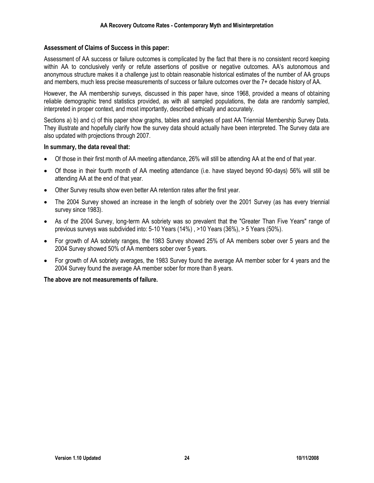#### **Assessment of Claims of Success in this paper:**

Assessment of AA success or failure outcomes is complicated by the fact that there is no consistent record keeping within AA to conclusively verify or refute assertions of positive or negative outcomes. AA's autonomous and anonymous structure makes it a challenge just to obtain reasonable historical estimates of the number of AA groups and members, much less precise measurements of success or failure outcomes over the 7+ decade history of AA.

However, the AA membership surveys, discussed in this paper have, since 1968, provided a means of obtaining reliable demographic trend statistics provided, as with all sampled populations, the data are randomly sampled, interpreted in proper context, and most importantly, described ethically and accurately.

Sections a) b) and c) of this paper show graphs, tables and analyses of past AA Triennial Membership Survey Data. They illustrate and hopefully clarify how the survey data should actually have been interpreted. The Survey data are also updated with projections through 2007.

#### **In summary, the data reveal that:**

- Of those in their first month of AA meeting attendance, 26% will still be attending AA at the end of that year.
- Of those in their fourth month of AA meeting attendance (i.e. have stayed beyond 90-days) 56% will still be attending AA at the end of that year.
- Other Survey results show even better AA retention rates after the first year.
- The 2004 Survey showed an increase in the length of sobriety over the 2001 Survey (as has every triennial survey since 1983).
- As of the 2004 Survey, long-term AA sobriety was so prevalent that the "Greater Than Five Years" range of previous surveys was subdivided into: 5-10 Years (14%) , >10 Years (36%), > 5 Years (50%).
- For growth of AA sobriety ranges, the 1983 Survey showed 25% of AA members sober over 5 years and the 2004 Survey showed 50% of AA members sober over 5 years.
- For growth of AA sobriety averages, the 1983 Survey found the average AA member sober for 4 years and the 2004 Survey found the average AA member sober for more than 8 years.

#### **The above are not measurements of failure.**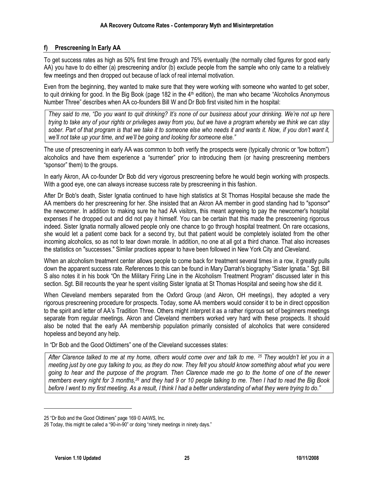### **f) Prescreening In Early AA**

To get success rates as high as 50% first time through and 75% eventually (the normally cited figures for good early AA) you have to do either (a) prescreening and/or (b) exclude people from the sample who only came to a relatively few meetings and then dropped out because of lack of real internal motivation.

Even from the beginning, they wanted to make sure that they were working with someone who wanted to get sober, to quit drinking for good. In the Big Book (page 182 in the  $4<sup>th</sup>$  edition), the man who became "Alcoholics Anonymous" Number Three" describes when AA co-founders Bill W and Dr Bob first visited him in the hospital:

*They said to me, "Do you want to quit drinking? It's none of our business about your drinking. We're not up here trying to take any of your rights or privileges away from you, but we have a program whereby we think we can stay sober. Part of that program is that we take it to someone else who needs it and wants it. Now, if you don't want it, we'll not take up your time, and we'll be going and looking for someone else."*

The use of prescreening in early AA was common to both verify the prospects were (typically chronic or "low bottom") alcoholics and have them experience a "surrender" prior to introducing them (or having prescreening members "sponsor" them) to the groups.

In early Akron, AA co-founder Dr Bob did very vigorous prescreening before he would begin working with prospects. With a good eye, one can always increase success rate by prescreening in this fashion.

After Dr Bob's death, Sister Ignatia continued to have high statistics at St Thomas Hospital because she made the AA members do her prescreening for her. She insisted that an Akron AA member in good standing had to "sponsor" the newcomer. In addition to making sure he had AA visitors, this meant agreeing to pay the newcomer's hospital expenses if he dropped out and did not pay it himself. You can be certain that this made the prescreening rigorous indeed. Sister Ignatia normally allowed people only one chance to go through hospital treatment. On rare occasions, she would let a patient come back for a second try, but that patient would be completely isolated from the other incoming alcoholics, so as not to tear down morale. In addition, no one at all got a third chance. That also increases the statistics on "successes." Similar practices appear to have been followed in New York City and Cleveland.

When an alcoholism treatment center allows people to come back for treatment several times in a row, it greatly pulls down the apparent success rate. References to this can be found in Mary Darrah's biography "Sister Ignatia." Sgt. Bill S also notes it in his book "On the Military Firing Line in the Alcoholism Treatment Program" discussed later in this section. Sgt. Bill recounts the year he spent visiting Sister Ignatia at St Thomas Hospital and seeing how she did it.

When Cleveland members separated from the Oxford Group (and Akron, OH meetings), they adopted a very rigorous prescreening procedure for prospects. Today, some AA members would consider it to be in direct opposition to the spirit and letter of AA's Tradition Three. Others might interpret it as a rather rigorous set of beginners meetings separate from regular meetings. Akron and Cleveland members worked very hard with these prospects. It should also be noted that the early AA membership population primarily consisted of alcoholics that were considered hopeless and beyond any help.

In "Dr Bob and the Good Oldtimers" one of the Cleveland successes states:

*After Clarence talked to me at my home, others would come over and talk to me. <sup>25</sup> They wouldn't let you in a meeting just by one guy talking to you, as they do now. They felt you should know something about what you were going to hear and the purpose of the program. Then Clarence made me go to the home of one of the newer members every night for 3 months,<sup>26</sup> and they had 9 or 10 people talking to me. Then I had to read the Big Book before I went to my first meeting. As a result, I think I had a better understanding of what they were trying to do."*

 $\overline{a}$ 

<sup>25</sup> "Dr Bob and the Good Oldtimers" page 169 © AAWS, Inc.

<sup>26</sup> Today, this might be called a "90-in-90" or doing "ninety meetings in ninety days."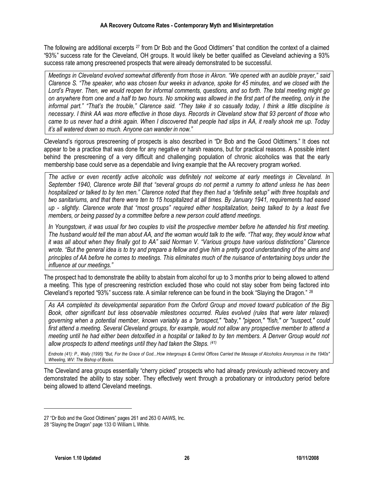The following are additional excerpts <sup>27</sup> from Dr Bob and the Good Oldtimers" that condition the context of a claimed "93%" success rate for the Cleveland, OH groups. It would likely be better qualified as Cleveland achieving a 93% success rate among prescreened prospects that were already demonstrated to be successful.

*Meetings in Cleveland evolved somewhat differently from those in Akron. "We opened with an audible prayer," said Clarence S. "The speaker, who was chosen four weeks in advance, spoke for 45 minutes, and we closed with the Lord's Prayer. Then, we would reopen for informal comments, questions, and so forth. The total meeting might go on anywhere from one and a half to two hours. No smoking was allowed in the first part of the meeting, only in the informal part." "That's the trouble," Clarence said. "They take it so casually today, I think a little discipline is necessary. I think AA was more effective in those days. Records in Cleveland show that 93 percent of those who came to us never had a drink again. When I discovered that people had slips in AA, it really shook me up. Today it's all watered down so much. Anyone can wander in now."*

Cleveland's rigorous prescreening of prospects is also described in "Dr Bob and the Good Oldtimers." It does not appear to be a practice that was done for any negative or harsh reasons, but for practical reasons. A possible intent behind the prescreening of a very difficult and challenging population of chronic alcoholics was that the early membership base could serve as a dependable and living example that the AA recovery program worked.

*The active or even recently active alcoholic was definitely not welcome at early meetings in Cleveland. In September 1940, Clarence wrote Bill that "several groups do not permit a rummy to attend unless he has been hospitalized or talked to by ten men." Clarence noted that they then had a "definite setup" with three hospitals and two sanitariums, and that there were ten to 15 hospitalized at all times. By January 1941, requirements had eased up - slightly. Clarence wrote that "most groups" required either hospitalization, being talked to by a least five members, or being passed by a committee before a new person could attend meetings.*

*In Youngstown, it was usual for two couples to visit the prospective member before he attended his first meeting. The husband would tell the man about AA, and the woman would talk to the wife. "That way, they would know what it was all about when they finally got to AA" said Norman V. "Various groups have various distinctions" Clarence wrote. "But the general idea is to try and prepare a fellow and give him a pretty good understanding of the aims and principles of AA before he comes to meetings. This eliminates much of the nuisance of entertaining boys under the influence at our meetings."*

The prospect had to demonstrate the ability to abstain from alcohol for up to 3 months prior to being allowed to attend a meeting. This type of prescreening restriction excluded those who could not stay sober from being factored into Cleveland's reported "93%" success rate. A similar reference can be found in the book "Slaying the Dragon." <sup>28</sup>

*As AA completed its developmental separation from the Oxford Group and moved toward publication of the Big Book, other significant but less observable milestones occurred. Rules evolved (rules that were later relaxed) governing when a potential member, known variably as a "prospect," "baby," "pigeon," "fish," or "suspect," could first attend a meeting. Several Cleveland groups, for example, would not allow any prospective member to attend a meeting until he had either been detoxified in a hospital or talked to by ten members. A Denver Group would not allow prospects to attend meetings until they had taken the Steps. (41)*

*Endnote (41): P., Wally (1995) "But, For the Grace of God...How Intergroups & Central Offices Carried the Message of Alcoholics Anonymous in the 1940s" Wheeling, WV: The Bishop of Books.*

The Cleveland area groups essentially "cherry picked" prospects who had already previously achieved recovery and demonstrated the ability to stay sober. They effectively went through a probationary or introductory period before being allowed to attend Cleveland meetings.

 $\overline{a}$ 

<sup>27</sup> "Dr Bob and the Good Oldtimers" pages 261 and 263 © AAWS, Inc.

<sup>28</sup> "Slaying the Dragon" page 133 © William L White.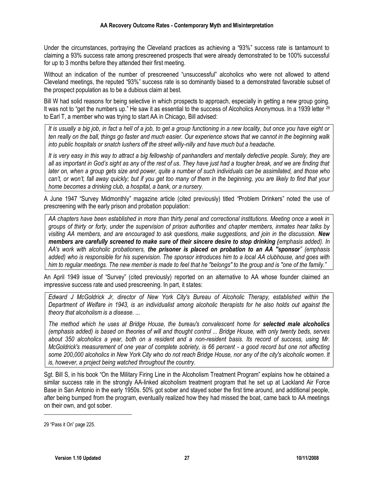Under the circumstances, portraying the Cleveland practices as achieving a "93%" success rate is tantamount to claiming a 93% success rate among prescreened prospects that were already demonstrated to be 100% successful for up to 3 months before they attended their first meeting.

Without an indication of the number of prescreened "unsuccessful" alcoholics who were not allowed to attend Cleveland meetings, the reputed "93%" success rate is so dominantly biased to a demonstrated favorable subset of the prospect population as to be a dubious claim at best.

Bill W had solid reasons for being selective in which prospects to approach, especially in getting a new group going. It was not to "get the numbers up." He saw it as essential to the success of Alcoholics Anonymous. In a 1939 letter <sup>29</sup> to Earl T, a member who was trying to start AA in Chicago, Bill advised:

*It is usually a big job, in fact a hell of a job, to get a group functioning in a new locality, but once you have eight or ten really on the ball, things go faster and much easier. Our experience shows that we cannot in the beginning walk into public hospitals or snatch lushers off the street willy-nilly and have much but a headache.*

*It is very easy in this way to attract a big fellowship of panhandlers and mentally defective people. Surely, they are all as important in God's sight as any of the rest of us. They have just had a tougher break, and we are finding that later on, when a group gets size and power, quite a number of such individuals can be assimilated, and those who can't, or won't, fall away quickly; but if you get too many of them in the beginning, you are likely to find that your home becomes a drinking club, a hospital, a bank, or a nursery.*

A June 1947 "Survey Midmonthly" magazine article (cited previously) titled "Problem Drinkers" noted the use of prescreening with the early prison and probation population:

*AA chapters have been established in more than thirty penal and correctional institutions. Meeting once a week in groups of thirty or forty, under the supervision of prison authorities and chapter members, inmates hear talks by visiting AA members, and are encouraged to ask questions, make suggestions, and join in the discussion. New members are carefully screened to make sure of their sincere desire to stop drinking (emphasis added). In AA's work with alcoholic probationers, the prisoner is placed on probation to an AA "sponsor" (emphasis added) who is responsible for his supervision. The sponsor introduces him to a local AA clubhouse, and goes with him to regular meetings. The new member is made to feel that he "belongs" to the group and is "one of the family."* 

An April 1949 issue of "Survey" (cited previously) reported on an alternative to AA whose founder claimed an impressive success rate and used prescreening. In part, it states:

*Edward J McGoldrick Jr, director of New York City's Bureau of Alcoholic Therapy, established within the Department of Welfare in 1943, is an individualist among alcoholic therapists for he also holds out against the theory that alcoholism is a disease. ...*

*The method which he uses at Bridge House, the bureau's convalescent home for selected male alcoholics (emphasis added) is based on theories of will and thought control ... Bridge House, with only twenty beds, serves about 350 alcoholics a year, both on a resident and a non-resident basis. Its record of success, using Mr. McGoldrick's measurement of one year of complete sobriety, is 66 percent - a good record but one not affecting some 200,000 alcoholics in New York City who do not reach Bridge House, nor any of the city's alcoholic women. It is, however, a project being watched throughout the country.*

Sgt. Bill S, in his book "On the Military Firing Line in the Alcoholism Treatment Program" explains how he obtained a similar success rate in the strongly AA-linked alcoholism treatment program that he set up at Lackland Air Force Base in San Antonio in the early 1950s. 50% got sober and stayed sober the first time around, and additional people, after being bumped from the program, eventually realized how they had missed the boat, came back to AA meetings on their own, and got sober.

<sup>29</sup> "Pass it On" page 225.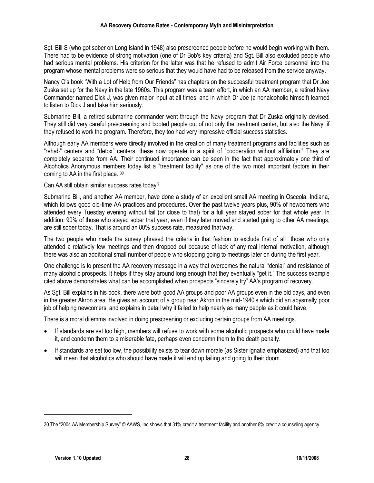#### **AA Recovery Outcome Rates - Contemporary Myth and Misinterpretation**

Sgt. Bill S (who got sober on Long Island in 1948) also prescreened people before he would begin working with them. There had to be evidence of strong motivation (one of Dr Bob's key criteria) and Sgt. Bill also excluded people who had serious mental problems. His criterion for the latter was that he refused to admit Air Force personnel into the program whose mental problems were so serious that they would have had to be released from the service anyway.

Nancy O's book "With a Lot of Help from Our Friends" has chapters on the successful treatment program that Dr Joe Zuska set up for the Navy in the late 1960s. This program was a team effort, in which an AA member, a retired Navy Commander named Dick J, was given major input at all times, and in which Dr Joe (a nonalcoholic himself) learned to listen to Dick J and take him seriously.

Submarine Bill, a retired submarine commander went through the Navy program that Dr Zuska originally devised. They still did very careful prescreening and booted people out of not only the treatment center, but also the Navy, if they refused to work the program. Therefore, they too had very impressive official success statistics.

Although early AA members were directly involved in the creation of many treatment programs and facilities such as "rehab" centers and "detox" centers, these now operate in a spirit of "cooperation without affiliation." They are completely separate from AA. Their continued importance can be seen in the fact that approximately one third of Alcoholics Anonymous members today list a "treatment facility" as one of the two most important factors in their coming to AA in the first place. <sup>30</sup>

#### Can AA still obtain similar success rates today?

Submarine Bill, and another AA member, have done a study of an excellent small AA meeting in Osceola, Indiana, which follows good old-time AA practices and procedures. Over the past twelve years plus, 90% of newcomers who attended every Tuesday evening without fail (or close to that) for a full year stayed sober for that whole year. In addition, 90% of those who stayed sober that year, even if they later moved and started going to other AA meetings, are still sober today. That is around an 80% success rate, measured that way.

The two people who made the survey phrased the criteria in that fashion to exclude first of all those who only attended a relatively few meetings and then dropped out because of lack of any real internal motivation, although there was also an additional small number of people who stopping going to meetings later on during the first year.

One challenge is to present the AA recovery message in a way that overcomes the natural "denial" and resistance of many alcoholic prospects. It helps if they stay around long enough that they eventually "get it." The success example cited above demonstrates what can be accomplished when prospects "sincerely try" AA's program of recovery.

As Sgt. Bill explains in his book, there were both good AA groups and poor AA groups even in the old days, and even in the greater Akron area. He gives an account of a group near Akron in the mid-1940's which did an abysmally poor job of helping newcomers, and explains in detail why it failed to help nearly as many people as it could have.

There is a moral dilemma involved in doing prescreening or excluding certain groups from AA meetings.

- If standards are set too high, members will refuse to work with some alcoholic prospects who could have made it, and condemn them to a miserable fate, perhaps even condemn them to the death penalty.
- If standards are set too low, the possibility exists to tear down morale (as Sister Ignatia emphasized) and that too will mean that alcoholics who should have made it will end up failing and going to their doom.

<sup>30</sup> The "2004 AA Membership Survey" © AAWS, Inc shows that 31% credit a treatment facility and another 8% credit a counseling agency.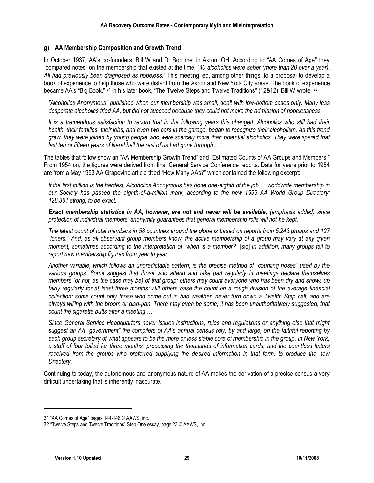#### **g) AA Membership Composition and Growth Trend**

In October 1937, AA's co-founders, Bill W and Dr Bob met in Akron, OH. According to "AA Comes of Age" they "compared notes" on the membership that existed at the time. "*40 alcoholics were sober (more than 20 over a year). All had previously been diagnosed as hopeless*." This meeting led, among other things, to a proposal to develop a book of experience to help those who were distant from the Akron and New York City areas. The book of experience became AA's "Big Book." 31 In his later book, "The Twelve Steps and Twelve Traditions" (12&12), Bill W wrote: 32

*"Alcoholics Anonymous" published when our membership was small, dealt with low-bottom cases only. Many less desperate alcoholics tried AA, but did not succeed because they could not make the admission of hopelessness.*

*It is a tremendous satisfaction to record that in the following years this changed. Alcoholics who still had their health, their families, their jobs, and even two cars in the garage, began to recognize their alcoholism. As this trend grew, they were joined by young people who were scarcely more than potential alcoholics. They were spared that last ten or fifteen years of literal hell the rest of us had gone through …"*

The tables that follow show an "AA Membership Growth Trend" and "Estimated Counts of AA Groups and Members." From 1954 on, the figures were derived from final General Service Conference reports. Data for years prior to 1954 are from a May 1953 AA Grapevine article titled "How Many AAs?" which contained the following excerpt:

*If the first million is the hardest, Alcoholics Anonymous has done one-eighth of the job … worldwide membership in our Society has passed the eighth-of-a-million mark, according to the new 1953 AA World Group Directory: 128,361 strong, to be exact.*

*Exact membership statistics in AA, however, are not and never will be available, (emphasis added) since*  protection of individual members' anonymity guarantees that general membership rolls will not be kept.

*The latest count of total members in 58 countries around the globe is based on reports from 5,243 groups and 127 "loners." And, as all observant group members know, the active membership of a group may vary at any given moment, sometimes according to the interpretation of "when is a member?"* [sic] *In addition, many groups fail to report new membership figures from year to year.*

*Another variable, which follows an unpredictable pattern, is the precise method of "counting noses" used by the various groups. Some suggest that those who attend and take part regularly in meetings declare themselves members (or not, as the case may be) of that group; others may count everyone who has been dry and shows up*  fairly regularly for at least three months; still others base the count on a rough division of the average financial *collection; some count only those who come out in bad weather, never turn down a Twelfth Step call, and are always willing with the broom or dish-pan. There may even be some, it has been unauthoritatively suggested, that count the cigarette butts after a meeting …*

*Since General Service Headquarters never issues instructions, rules and regulations or anything else that might suggest an AA "government" the compilers of AA's annual census rely, by and large, on the faithful reporting by each group secretary of what appears to be the more or less stable core of membership in the group. In New York, a staff of four toiled for three months, processing the thousands of information cards, and the countless letters received from the groups who preferred supplying the desired information in that form, to produce the new Directory.*

Continuing to today, the autonomous and anonymous nature of AA makes the derivation of a precise census a very difficult undertaking that is inherently inaccurate.

 $\overline{a}$ 

<sup>31</sup> "AA Comes of Age" pages 144-146 © AAWS, inc.

<sup>32</sup> "Twelve Steps and Twelve Traditions" Step One essay, page 23 © AAWS, Inc.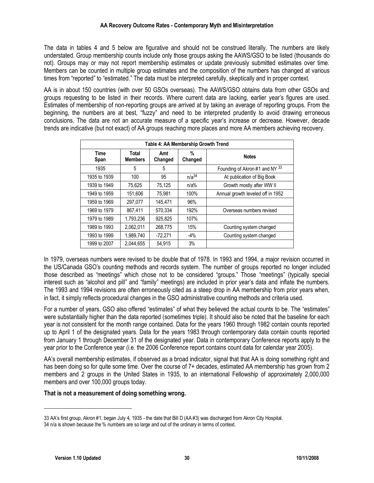The data in tables 4 and 5 below are figurative and should not be construed literally. The numbers are likely understated. Group membership counts include only those groups asking the AAWS/GSO to be listed (thousands do not). Groups may or may not report membership estimates or update previously submitted estimates over time. Members can be counted in multiple group estimates and the composition of the numbers has changed at various times from "reported" to "estimated." The data must be interpreted carefully, skeptically and in proper context.

AA is in about 150 countries (with over 50 GSOs overseas). The AAWS/GSO obtains data from other GSOs and groups requesting to be listed in their records. Where current data are lacking, earlier year's figures are used. Estimates of membership of non-reporting groups are arrived at by taking an average of reporting groups. From the beginning, the numbers are at best, "fuzzy" and need to be interpreted prudently to avoid drawing erroneous conclusions. The data are not an accurate measure of a specific year's increase or decrease. However, decade trends are indicative (but not exact) of AA groups reaching more places and more AA members achieving recovery.

|                     |                         |                | Table 4: AA Membership Growth Trend |                                   |
|---------------------|-------------------------|----------------|-------------------------------------|-----------------------------------|
| <b>Time</b><br>Span | Total<br><b>Members</b> | Amt<br>Changed | %<br>Changed                        | <b>Notes</b>                      |
| 1935                | 5                       | 5              |                                     | Founding of Akron #1 and NY 33    |
| 1935 to 1939        | 100                     | 95             | $n/a^{34}$                          | At publication of Big Book        |
| 1939 to 1949        | 75.625                  | 75.125         | $n/a\%$                             | Growth mostly after WW II         |
| 1949 to 1959        | 151.606                 | 75.981         | 100%                                | Annual growth leveled off in 1952 |
| 1959 to 1969        | 297.077                 | 145.471        | 96%                                 |                                   |
| 1969 to 1979        | 867.411                 | 570.334        | 192%                                | Overseas numbers revised          |
| 1979 to 1989        | 1,793,236               | 925.825        | 107%                                |                                   |
| 1989 to 1993        | 2.062.011               | 268.775        | 15%                                 | Counting system changed           |
| 1993 to 1999        | 1,989,740               | $-72.271$      | $-4%$                               | Counting system changed           |
| 1999 to 2007        | 2.044.655               | 54,915         | 3%                                  |                                   |

In 1979, overseas numbers were revised to be double that of 1978. In 1993 and 1994, a major revision occurred in the US/Canada GSO's counting methods and records system. The number of groups reported no longer included those described as "meetings" which chose not to be considered "groups." Those "meetings" (typically special interest such as "alcohol and pill" and "family" meetings) are included in prior year's data and inflate the numbers. The 1993 and 1994 revisions are often erroneously cited as a steep drop in AA membership from prior years when, in fact, it simply reflects procedural changes in the GSO administrative counting methods and criteria used.

For a number of years, GSO also offered "estimates" of what they believed the actual counts to be. The "estimates" were substantially higher than the data reported (sometimes triple). It should also be noted that the baseline for each year is not consistent for the month range contained. Data for the years 1960 through 1982 contain counts reported up to April 1 of the designated years. Data for the years 1983 through contemporary data contain counts reported from January 1 through December 31 of the designated year. Data in contemporary Conference reports apply to the year prior to the Conference year (i.e. the 2006 Conference report contains count data for calendar year 2005).

AA's overall membership estimates, if observed as a broad indicator, signal that that AA is doing something right and has been doing so for quite some time. Over the course of 7+ decades, estimated AA membership has grown from 2 members and 2 groups in the United States in 1935, to an international Fellowship of approximately 2,000,000 members and over 100,000 groups today.

#### **That is not a measurement of doing something wrong.**

 $\overline{a}$ 

<sup>33</sup> AA's first group, Akron #1, began July 4, 1935 - the date that Bill D (AA #3) was discharged from Akron City Hospital.

<sup>34</sup> n/a is shown because the % numbers are so large and out of the ordinary in terms of context.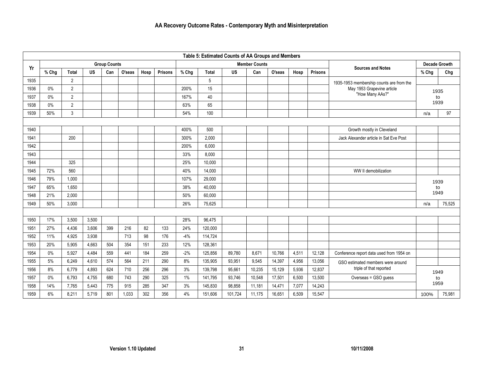|      |       |                |           |                     |        |      |                |       | Table 5: Estimated Counts of AA Groups and Members |           |                      |        |       |                |                                          |       |                      |
|------|-------|----------------|-----------|---------------------|--------|------|----------------|-------|----------------------------------------------------|-----------|----------------------|--------|-------|----------------|------------------------------------------|-------|----------------------|
| Yr   |       |                |           | <b>Group Counts</b> |        |      |                |       |                                                    |           | <b>Member Counts</b> |        |       |                | <b>Sources and Notes</b>                 |       | <b>Decade Growth</b> |
|      | % Chg | <b>Total</b>   | <b>US</b> | Can                 | O'seas | Hosp | <b>Prisons</b> | % Chg | Total                                              | <b>US</b> | Can                  | O'seas | Hosp  | <b>Prisons</b> |                                          | % Chg | Chg                  |
| 1935 |       | $\overline{2}$ |           |                     |        |      |                |       | 5                                                  |           |                      |        |       |                | 1935-1953 membership counts are from the |       |                      |
| 1936 | 0%    | $\overline{2}$ |           |                     |        |      |                | 200%  | 15                                                 |           |                      |        |       |                | May 1953 Grapevine article               | 1935  |                      |
| 1937 | 0%    | $\overline{2}$ |           |                     |        |      |                | 167%  | 40                                                 |           |                      |        |       |                | "How Many AAs?"                          |       | to                   |
| 1938 | $0\%$ | $\overline{2}$ |           |                     |        |      |                | 63%   | 65                                                 |           |                      |        |       |                |                                          | 1939  |                      |
| 1939 | 50%   | 3              |           |                     |        |      |                | 54%   | 100                                                |           |                      |        |       |                |                                          | n/a   | 97                   |
|      |       |                |           |                     |        |      |                |       |                                                    |           |                      |        |       |                |                                          |       |                      |
| 1940 |       |                |           |                     |        |      |                | 400%  | 500                                                |           |                      |        |       |                | Growth mostly in Cleveland               |       |                      |
| 1941 |       | 200            |           |                     |        |      |                | 300%  | 2,000                                              |           |                      |        |       |                | Jack Alexander article in Sat Eve Post   |       |                      |
| 1942 |       |                |           |                     |        |      |                | 200%  | 6.000                                              |           |                      |        |       |                |                                          |       |                      |
| 1943 |       |                |           |                     |        |      |                | 33%   | 8.000                                              |           |                      |        |       |                |                                          |       |                      |
| 1944 |       | 325            |           |                     |        |      |                | 25%   | 10,000                                             |           |                      |        |       |                |                                          |       |                      |
| 1945 | 72%   | 560            |           |                     |        |      |                | 40%   | 14,000                                             |           |                      |        |       |                | WW II demobilization                     |       |                      |
| 1946 | 79%   | 1,000          |           |                     |        |      |                | 107%  | 29,000                                             |           |                      |        |       |                |                                          | 1939  |                      |
| 1947 | 65%   | 1,650          |           |                     |        |      |                | 38%   | 40,000                                             |           |                      |        |       |                |                                          |       | to                   |
| 1948 | 21%   | 2,000          |           |                     |        |      |                | 50%   | 60,000                                             |           |                      |        |       |                |                                          | 1949  |                      |
| 1949 | 50%   | 3,000          |           |                     |        |      |                | 26%   | 75,625                                             |           |                      |        |       |                |                                          | n/a   | 75,525               |
|      |       |                |           |                     |        |      |                |       |                                                    |           |                      |        |       |                |                                          |       |                      |
| 1950 | 17%   | 3,500          | 3,500     |                     |        |      |                | 28%   | 96,475                                             |           |                      |        |       |                |                                          |       |                      |
| 1951 | 27%   | 4,436          | 3,606     | 399                 | 216    | 82   | 133            | 24%   | 120,000                                            |           |                      |        |       |                |                                          |       |                      |
| 1952 | 11%   | 4,925          | 3,938     |                     | 713    | 98   | 176            | $-4%$ | 114,724                                            |           |                      |        |       |                |                                          |       |                      |
| 1953 | 20%   | 5,905          | 4,663     | 504                 | 354    | 151  | 233            | 12%   | 128,361                                            |           |                      |        |       |                |                                          |       |                      |
| 1954 | $0\%$ | 5,927          | 4,484     | 559                 | 441    | 184  | 259            | $-2%$ | 125,856                                            | 89,780    | 8,671                | 10,766 | 4,511 | 12,128         | Conference report data used from 1954 on |       |                      |
| 1955 | 5%    | 6,249          | 4,610     | 574                 | 564    | 211  | 290            | 8%    | 135,905                                            | 93,951    | 9,545                | 14,397 | 4,956 | 13,056         | GSO estimated members were around        |       |                      |
| 1956 | 8%    | 6,779          | 4,893     | 624                 | 710    | 256  | 296            | 3%    | 139,798                                            | 95,661    | 10,235               | 15,129 | 5,936 | 12,837         | triple of that reported                  |       | 1949                 |
| 1957 | $0\%$ | 6,793          | 4,755     | 680                 | 743    | 290  | 325            | 1%    | 141,795                                            | 93,746    | 10,548               | 17,501 | 6,500 | 13,500         | Overseas = GSO guess                     |       | to                   |
| 1958 | 14%   | 7,765          | 5,443     | 775                 | 915    | 285  | 347            | 3%    | 145,830                                            | 98,858    | 11,181               | 14,471 | 7,077 | 14,243         |                                          |       | 1959                 |
| 1959 | 6%    | 8,211          | 5,719     | 801                 | 1,033  | 302  | 356            | 4%    | 151,606                                            | 101,724   | 11,175               | 16,651 | 6,509 | 15,547         |                                          | 100%  | 75,981               |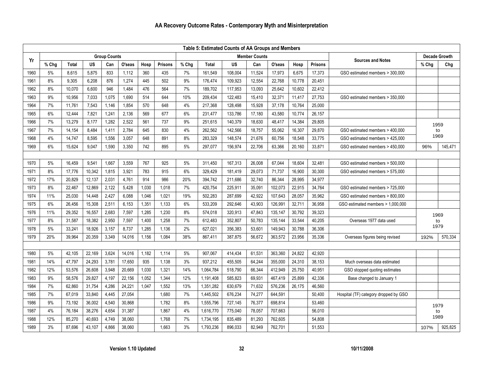| Table 5: Estimated Counts of AA Groups and Members |       |              |        |                     |        |       |                |       |              |           |                      |         |        |                |                                       |       |                      |
|----------------------------------------------------|-------|--------------|--------|---------------------|--------|-------|----------------|-------|--------------|-----------|----------------------|---------|--------|----------------|---------------------------------------|-------|----------------------|
|                                                    |       |              |        | <b>Group Counts</b> |        |       |                |       |              |           | <b>Member Counts</b> |         |        |                |                                       |       | <b>Decade Growth</b> |
| Yr                                                 | % Chg | <b>Total</b> | US     | Can                 | O'seas | Hosp  | <b>Prisons</b> | % Chg | <b>Total</b> | <b>US</b> | Can                  | O'seas  | Hosp   | <b>Prisons</b> | <b>Sources and Notes</b>              | % Chg | Chg                  |
| 1960                                               | 5%    | 8,615        | 5,875  | 833                 | 1,112  | 360   | 435            | 7%    | 161,549      | 108,004   | 11,524               | 17,973  | 6,675  | 17,373         | GSO estimated members > 300,000       |       |                      |
| 1961                                               | 8%    | 9,305        | 6,208  | 876                 | 1,274  | 445   | 502            | 9%    | 176,474      | 109,923   | 12,554               | 22,768  | 10,778 | 20,451         |                                       |       |                      |
| 1962                                               | 8%    | 10,070       | 6,600  | 946                 | 1,484  | 476   | 564            | 7%    | 189,702      | 117,953   | 13,093               | 25,642  | 10,602 | 22,412         |                                       |       |                      |
| 1963                                               | 9%    | 10,956       | 7,033  | 1,075               | 1,690  | 514   | 644            | 10%   | 209,434      | 122,483   | 15,410               | 32,371  | 11,417 | 27,753         | GSO estimated members > 350,000       |       |                      |
| 1964                                               | 7%    | 11,761       | 7,543  | 1,146               | 1,854  | 570   | 648            | 4%    | 217,368      | 128,498   | 15,928               | 37,178  | 10,764 | 25,000         |                                       |       |                      |
| 1965                                               | 6%    | 12,444       | 7,821  | 1,241               | 2,136  | 569   | 677            | 6%    | 231,477      | 133,786   | 17,180               | 43,580  | 10,774 | 26,157         |                                       |       |                      |
| 1966                                               | 7%    | 13,279       | 8,177  | 1,282               | 2,522  | 561   | 737            | 9%    | 251,615      | 140,379   | 18,630               | 48,417  | 14,384 | 29,805         |                                       |       | 1959                 |
| 1967                                               | 7%    | 14,154       | 8,484  | 1,411               | 2,784  | 645   | 830            | 4%    | 262,562      | 142,566   | 18,757               | 55,062  | 16,307 | 29,870         | GSO estimated members > 400,000       |       | to                   |
| 1968                                               | 4%    | 14,747       | 8,595  | 1,556               | 3,057  | 648   | 891            | 8%    | 283,329      | 148,574   | 21,676               | 60,756  | 18,548 | 33,775         | GSO estimated members > 425,000       |       | 1969                 |
| 1969                                               | 6%    | 15,624       | 9,047  | 1,590               | 3,350  | 742   | 895            | $5%$  | 297,077      | 156,974   | 22,706               | 63,366  | 20,160 | 33,871         | GSO estimated members > 450,000       | 96%   | 145,471              |
|                                                    |       |              |        |                     |        |       |                |       |              |           |                      |         |        |                |                                       |       |                      |
| 1970                                               | 5%    | 16,459       | 9,541  | 1,667               | 3,559  | 767   | 925            | 5%    | 311,450      | 167,313   | 26,008               | 67,044  | 18,604 | 32,481         | GSO estimated members > 500,000       |       |                      |
| 1971                                               | 8%    | 17,776       | 10,342 | 1,815               | 3,921  | 783   | 915            | 6%    | 329,429      | 181,419   | 29,073               | 71,737  | 16,900 | 30,300         | GSO estimated members > 575,000       |       |                      |
| 1972                                               | 17%   | 20,829       | 12,137 | 2,031               | 4,761  | 914   | 986            | 20%   | 394,742      | 211,686   | 32,740               | 86,344  | 28,995 | 34,977         |                                       |       |                      |
| 1973                                               | 8%    | 22,467       | 12,869 | 2,122               | 5,428  | 1,030 | 1,018          | 7%    | 420,754      | 225,911   | 35,091               | 102,073 | 22,915 | 34,764         | GSO estimated members > 725,000       |       |                      |
| 1974                                               | 11%   | 25,030       | 14,448 | 2,427               | 6,088  | 1,046 | 1,021          | 19%   | 502,283      | 287,699   | 42,922               | 107,643 | 28,057 | 35,962         | GSO estimated members > 800,000       |       |                      |
| 1975                                               | 6%    | 26,456       | 15,308 | 2,511               | 6,153  | 1,351 | 1,133          | 6%    | 533,209      | 292,646   | 43,903               | 126,991 | 32,711 | 36,958         | GSO estimated members > 1,000,000     |       |                      |
| 1976                                               | 11%   | 29,352       | 16,557 | 2,683               | 7,597  | 1,285 | 1,230          | 8%    | 574,018      | 320,913   | 47,843               | 135,147 | 30,792 | 39,323         |                                       |       | 1969                 |
| 1977                                               | 8%    | 31,587       | 18,382 | 2,950               | 7,597  | 1,400 | 1,258          | 7%    | 612,483      | 352,807   | 50,783               | 135,144 | 33,544 | 40,205         | Overseas 1977 data used               |       | to                   |
| 1978                                               | $5%$  | 33,241       | 18,926 | 3,157               | 8,737  | 1,285 | 1,136          | 2%    | 627,021      | 356,383   | 53,601               | 149,943 | 30,788 | 36,306         |                                       |       | 1979                 |
| 1979                                               | 20%   | 39,964       | 20,359 | 3,349               | 14,016 | 1,156 | 1,084          | 38%   | 867,411      | 387,875   | 56,672               | 363,572 | 23,956 | 35,336         | Overseas figures being revised        | 192%  | 570.334              |
|                                                    |       |              |        |                     |        |       |                |       |              |           |                      |         |        |                |                                       |       |                      |
| 1980                                               | 5%    | 42,105       | 22,169 | 3,624               | 14,016 | 1,182 | 1,114          | $5%$  | 907,067      | 414,434   | 61,531               | 363,360 | 24,822 | 42,920         |                                       |       |                      |
| 1981                                               | 14%   | 47,797       | 24,293 | 3,781               | 17,650 | 935   | 1,138          | 3%    | 937,212      | 455,505   | 64,244               | 355,000 | 24,310 | 38,153         | Much overseas data estimated          |       |                      |
| 1982                                               | 12%   | 53,576       | 26,608 | 3,948               | 20,669 | 1,030 | 1,321          | 14%   | 1,064,784    | 518,790   | 66,344               | 412,949 | 25,750 | 40,951         | GSO stopped quoting estimates         |       |                      |
| 1983                                               | 9%    | 58,576       | 29,827 | 4,197               | 22,156 | 1,052 | 1,344          | 12%   | 1,191,408    | 585,823   | 69,931               | 467,419 | 25,899 | 42,336         | Base changed to January 1             |       |                      |
| 1984                                               | 7%    | 62,860       | 31,754 | 4,286               | 24,221 | 1,047 | 1,552          | 13%   | 1,351,282    | 630,679   | 71,632               | 576,236 | 26,175 | 46,560         |                                       |       |                      |
| 1985                                               | 7%    | 67,019       | 33,840 | 4,445               | 27,054 |       | 1,680          | 7%    | 1,445,502    | 676,234   | 74,277               | 644,591 |        | 50,400         | Hospital (TF) category dropped by GSO |       |                      |
| 1986                                               | 9%    | 73,192       | 36,002 | 4,540               | 30,868 |       | 1,782          | 8%    | 1,555,796    | 727,145   | 76,377               | 698,814 |        | 53,460         |                                       |       | 1979                 |
| 1987                                               | 4%    | 76,184       | 38,276 | 4,654               | 31,387 |       | 1,867          | 4%    | 1,616,770    | 775,040   | 78,057               | 707,663 |        | 56,010         |                                       |       | to                   |
| 1988                                               | 12%   | 85,270       | 40,693 | 4,749               | 38,060 |       | 1,768          | 7%    | 1,734,195    | 835,489   | 81,293               | 762,605 |        | 54,808         |                                       |       | 1989                 |
| 1989                                               | 3%    | 87,696       | 43,107 | 4,866               | 38,060 |       | 1,663          | 3%    | 1,793,236    | 896,033   | 82,949               | 762,701 |        | 51,553         |                                       | 107%  | 925,825              |